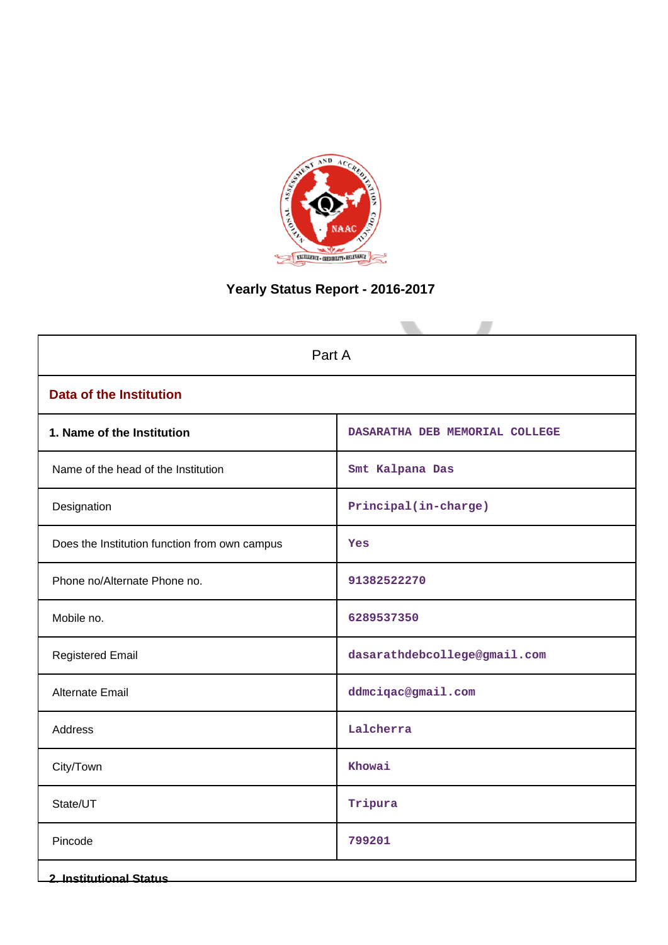

# **Yearly Status Report - 2016-2017**

| Part A                                        |                                |  |  |  |
|-----------------------------------------------|--------------------------------|--|--|--|
| <b>Data of the Institution</b>                |                                |  |  |  |
| 1. Name of the Institution                    | DASARATHA DEB MEMORIAL COLLEGE |  |  |  |
| Name of the head of the Institution           | Smt Kalpana Das                |  |  |  |
| Designation                                   | Principal(in-charge)           |  |  |  |
| Does the Institution function from own campus | Yes                            |  |  |  |
| Phone no/Alternate Phone no.                  | 91382522270                    |  |  |  |
| Mobile no.                                    | 6289537350                     |  |  |  |
| <b>Registered Email</b>                       | dasarathdebcollege@gmail.com   |  |  |  |
| <b>Alternate Email</b>                        | ddmciqac@gmail.com             |  |  |  |
| <b>Address</b>                                | Lalcherra                      |  |  |  |
| City/Town                                     | Khowai                         |  |  |  |
| State/UT                                      | Tripura                        |  |  |  |
| Pincode                                       | 799201                         |  |  |  |
| <b>2. Institutional Status</b>                |                                |  |  |  |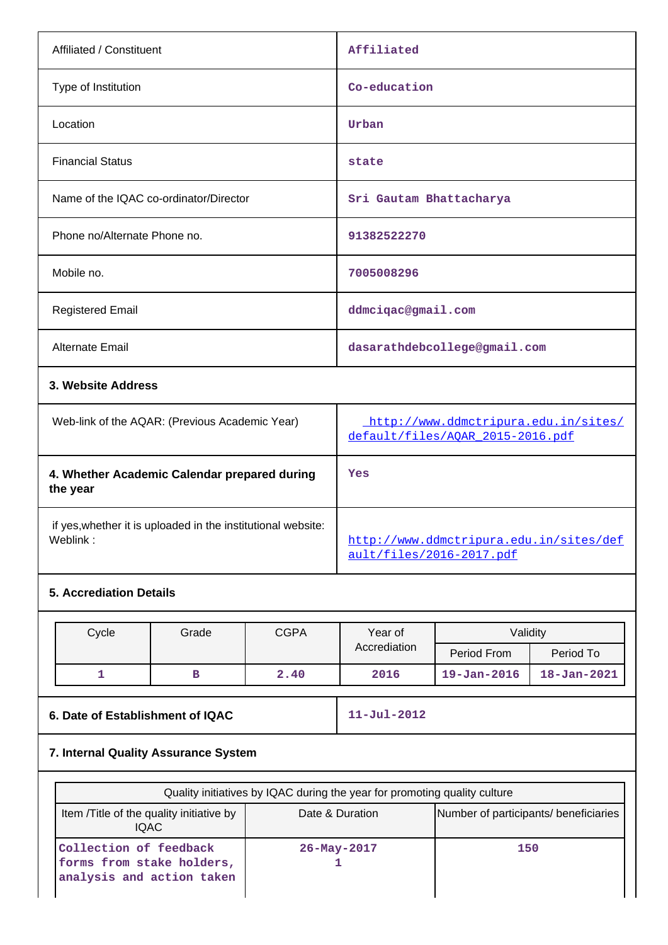| Affiliated / Constituent                                                 | Affiliated                                                               |
|--------------------------------------------------------------------------|--------------------------------------------------------------------------|
| Type of Institution                                                      | Co-education                                                             |
| Location                                                                 | Urban                                                                    |
| <b>Financial Status</b>                                                  | state                                                                    |
| Name of the IQAC co-ordinator/Director                                   | Sri Gautam Bhattacharya                                                  |
| Phone no/Alternate Phone no.                                             | 91382522270                                                              |
| Mobile no.                                                               | 7005008296                                                               |
| <b>Registered Email</b>                                                  | ddmciqac@gmail.com                                                       |
| <b>Alternate Email</b>                                                   | dasarathdebcollege@gmail.com                                             |
| 3. Website Address                                                       |                                                                          |
| Web-link of the AQAR: (Previous Academic Year)                           | http://www.ddmctripura.edu.in/sites/<br>default/files/AOAR 2015-2016.pdf |
| 4. Whether Academic Calendar prepared during<br>the year                 | Yes                                                                      |
| if yes, whether it is uploaded in the institutional website:<br>Weblink: | http://www.ddmctripura.edu.in/sites/def<br>ault/files/2016-2017.pdf      |

## **5. Accrediation Details**

| Cycle | Grade | <b>CGPA</b> | Year of      | Validity          |                   |
|-------|-------|-------------|--------------|-------------------|-------------------|
|       |       |             | Accrediation | Period From       | Period To         |
|       |       | 2.40        | 2016         | $19 - Jan - 2016$ | $18 - Jan - 2021$ |

**6. Date of Establishment of IQAC** 11-Jul-2012

# **7. Internal Quality Assurance System**

| Quality initiatives by IQAC during the year for promoting quality culture        |                   |                                       |  |  |  |
|----------------------------------------------------------------------------------|-------------------|---------------------------------------|--|--|--|
| Item / Title of the quality initiative by<br>IQAC.                               | Date & Duration   | Number of participants/ beneficiaries |  |  |  |
| Collection of feedback<br>forms from stake holders,<br>analysis and action taken | $26 - May - 2017$ | 150                                   |  |  |  |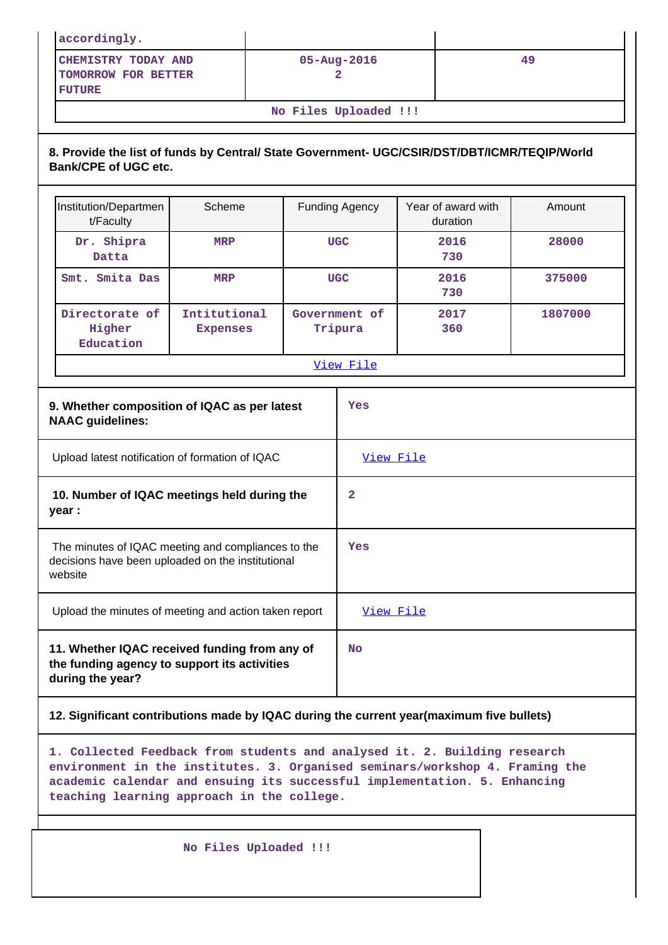| accordingly.                                                                                                         |                       |                        |                    |        |  |  |  |
|----------------------------------------------------------------------------------------------------------------------|-----------------------|------------------------|--------------------|--------|--|--|--|
| CHEMISTRY TODAY AND<br>TOMORROW FOR BETTER<br><b>FUTURE</b>                                                          |                       | $05 - Aug - 2016$<br>2 |                    | 49     |  |  |  |
|                                                                                                                      | No Files Uploaded !!! |                        |                    |        |  |  |  |
| 8. Provide the list of funds by Central/ State Government- UGC/CSIR/DST/DBT/ICMR/TEQIP/World<br>Bank/CPE of UGC etc. |                       |                        |                    |        |  |  |  |
| Institution/Departmen                                                                                                | Scheme                | <b>Funding Agency</b>  | Year of award with | Amount |  |  |  |

**MRP UGC 2016**

**Government of Tripura**

**Smt. Smita Das MRP UGC 2016**

**Intitutional Expenses**

**730**

**730**

**2017 360**

**28000**

**375000**

**1807000**

**Dr. Shipra Datta**

**Directorate of Higher**

| View File<br>9. Whether composition of IQAC as per latest<br>Yes<br><b>NAAC guidelines:</b><br>Upload latest notification of formation of IQAC<br><u>View File</u><br>10. Number of IQAC meetings held during the<br>2<br>year : |                                                    | Education |  |  |     |  |  |
|----------------------------------------------------------------------------------------------------------------------------------------------------------------------------------------------------------------------------------|----------------------------------------------------|-----------|--|--|-----|--|--|
|                                                                                                                                                                                                                                  |                                                    |           |  |  |     |  |  |
|                                                                                                                                                                                                                                  |                                                    |           |  |  |     |  |  |
|                                                                                                                                                                                                                                  |                                                    |           |  |  |     |  |  |
|                                                                                                                                                                                                                                  |                                                    |           |  |  |     |  |  |
| decisions have been uploaded on the institutional<br>website                                                                                                                                                                     | The minutes of IQAC meeting and compliances to the |           |  |  | Yes |  |  |
| Upload the minutes of meeting and action taken report<br>View File                                                                                                                                                               |                                                    |           |  |  |     |  |  |
| 11. Whether IQAC received funding from any of<br><b>No</b><br>the funding agency to support its activities<br>during the year?                                                                                                   |                                                    |           |  |  |     |  |  |

### **12. Significant contributions made by IQAC during the current year(maximum five bullets)**

**1. Collected Feedback from students and analysed it. 2. Building research environment in the institutes. 3. Organised seminars/workshop 4. Framing the academic calendar and ensuing its successful implementation. 5. Enhancing teaching learning approach in the college.**

 **No Files Uploaded !!!**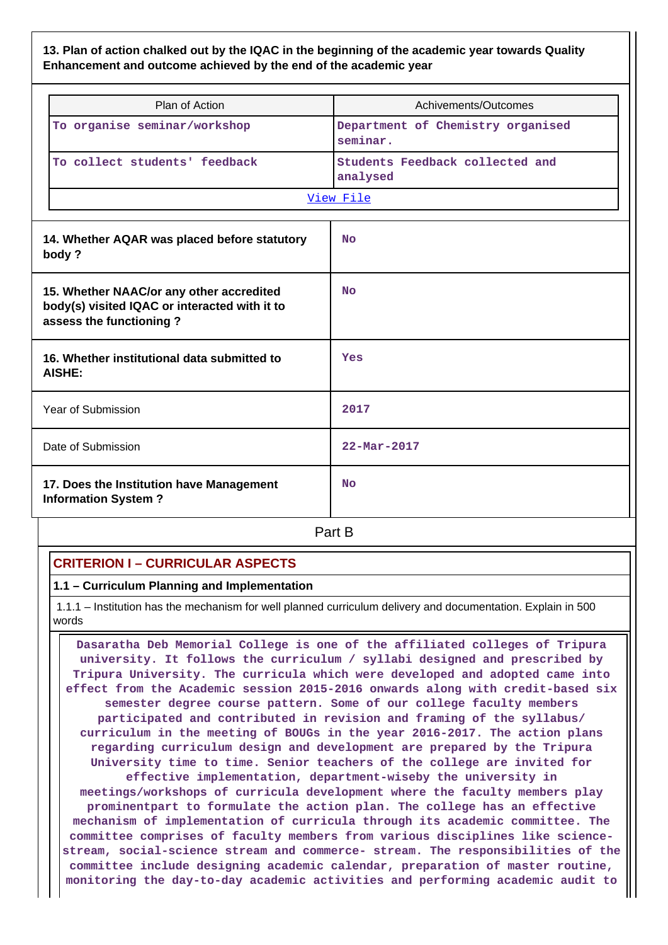## **13. Plan of action chalked out by the IQAC in the beginning of the academic year towards Quality Enhancement and outcome achieved by the end of the academic year**

| Plan of Action                                                                                                       | Achivements/Outcomes                          |  |  |
|----------------------------------------------------------------------------------------------------------------------|-----------------------------------------------|--|--|
| To organise seminar/workshop                                                                                         | Department of Chemistry organised<br>seminar. |  |  |
| To collect students' feedback                                                                                        | Students Feedback collected and<br>analysed   |  |  |
|                                                                                                                      | View File                                     |  |  |
| 14. Whether AQAR was placed before statutory<br>body?                                                                | <b>No</b>                                     |  |  |
| 15. Whether NAAC/or any other accredited<br>body(s) visited IQAC or interacted with it to<br>assess the functioning? | <b>No</b>                                     |  |  |
| 16. Whether institutional data submitted to<br><b>AISHE:</b>                                                         | Yes                                           |  |  |
| Year of Submission                                                                                                   | 2017                                          |  |  |
| Date of Submission                                                                                                   | $22 - \text{Mar} - 2017$                      |  |  |
| 17. Does the Institution have Management<br><b>Information System?</b>                                               | <b>No</b>                                     |  |  |
|                                                                                                                      | Part B                                        |  |  |

## **CRITERION I – CURRICULAR ASPECTS**

**1.1 – Curriculum Planning and Implementation**

 1.1.1 – Institution has the mechanism for well planned curriculum delivery and documentation. Explain in 500 words

 **Dasaratha Deb Memorial College is one of the affiliated colleges of Tripura university. It follows the curriculum / syllabi designed and prescribed by Tripura University. The curricula which were developed and adopted came into effect from the Academic session 2015-2016 onwards along with credit-based six semester degree course pattern. Some of our college faculty members participated and contributed in revision and framing of the syllabus/ curriculum in the meeting of BOUGs in the year 2016-2017. The action plans regarding curriculum design and development are prepared by the Tripura University time to time. Senior teachers of the college are invited for effective implementation, department-wiseby the university in meetings/workshops of curricula development where the faculty members play prominentpart to formulate the action plan. The college has an effective mechanism of implementation of curricula through its academic committee. The committee comprises of faculty members from various disciplines like sciencestream, social-science stream and commerce- stream. The responsibilities of the committee include designing academic calendar, preparation of master routine, monitoring the day-to-day academic activities and performing academic audit to**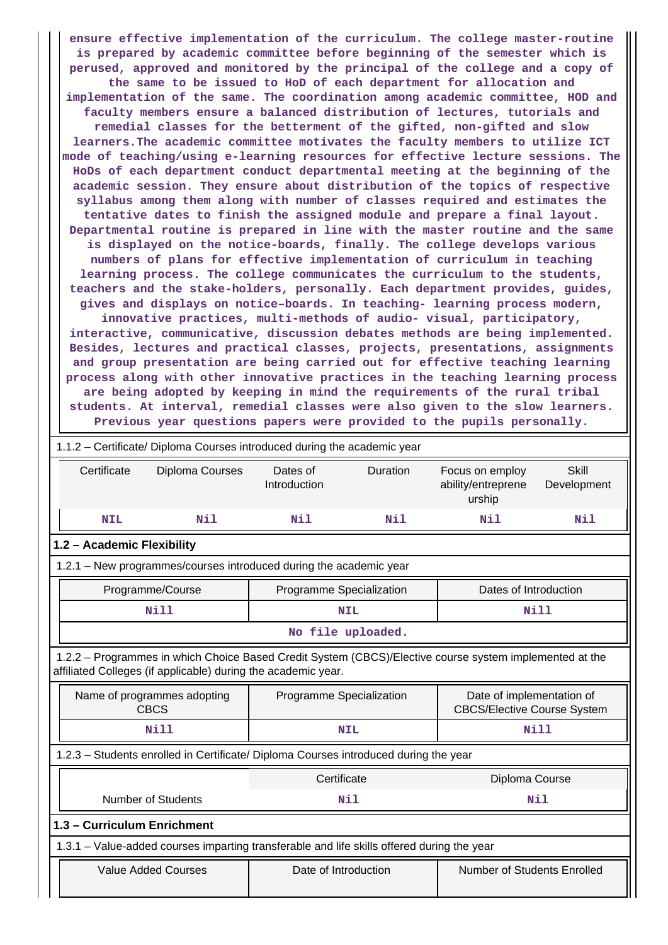**ensure effective implementation of the curriculum. The college master-routine is prepared by academic committee before beginning of the semester which is perused, approved and monitored by the principal of the college and a copy of the same to be issued to HoD of each department for allocation and implementation of the same. The coordination among academic committee, HOD and faculty members ensure a balanced distribution of lectures, tutorials and remedial classes for the betterment of the gifted, non-gifted and slow learners.The academic committee motivates the faculty members to utilize ICT mode of teaching/using e-learning resources for effective lecture sessions. The HoDs of each department conduct departmental meeting at the beginning of the academic session. They ensure about distribution of the topics of respective syllabus among them along with number of classes required and estimates the tentative dates to finish the assigned module and prepare a final layout. Departmental routine is prepared in line with the master routine and the same is displayed on the notice-boards, finally. The college develops various numbers of plans for effective implementation of curriculum in teaching learning process. The college communicates the curriculum to the students, teachers and the stake-holders, personally. Each department provides, guides, gives and displays on notice–boards. In teaching- learning process modern, innovative practices, multi-methods of audio- visual, participatory, interactive, communicative, discussion debates methods are being implemented. Besides, lectures and practical classes, projects, presentations, assignments and group presentation are being carried out for effective teaching learning**

**process along with other innovative practices in the teaching learning process are being adopted by keeping in mind the requirements of the rural tribal students. At interval, remedial classes were also given to the slow learners. Previous year questions papers were provided to the pupils personally.**

|                                                                                   | 1.1.2 - Certificate/ Diploma Courses introduced during the academic year                                                                                                 |                          |                   |                                                                 |                             |  |  |  |
|-----------------------------------------------------------------------------------|--------------------------------------------------------------------------------------------------------------------------------------------------------------------------|--------------------------|-------------------|-----------------------------------------------------------------|-----------------------------|--|--|--|
| Certificate                                                                       | Diploma Courses                                                                                                                                                          | Dates of<br>Introduction | Duration          | Focus on employ<br>ability/entreprene<br>urship                 | <b>Skill</b><br>Development |  |  |  |
| <b>NIL</b>                                                                        | Nil                                                                                                                                                                      | Nil                      | Nil               | Nil                                                             | Nil                         |  |  |  |
| 1.2 - Academic Flexibility                                                        |                                                                                                                                                                          |                          |                   |                                                                 |                             |  |  |  |
|                                                                                   | 1.2.1 - New programmes/courses introduced during the academic year                                                                                                       |                          |                   |                                                                 |                             |  |  |  |
|                                                                                   | Programme/Course                                                                                                                                                         | Programme Specialization |                   | Dates of Introduction                                           |                             |  |  |  |
|                                                                                   | <b>Nill</b>                                                                                                                                                              |                          | <b>NIL</b>        |                                                                 | Nill                        |  |  |  |
|                                                                                   |                                                                                                                                                                          |                          | No file uploaded. |                                                                 |                             |  |  |  |
|                                                                                   | 1.2.2 - Programmes in which Choice Based Credit System (CBCS)/Elective course system implemented at the<br>affiliated Colleges (if applicable) during the academic year. |                          |                   |                                                                 |                             |  |  |  |
|                                                                                   | Name of programmes adopting<br><b>CBCS</b>                                                                                                                               | Programme Specialization |                   | Date of implementation of<br><b>CBCS/Elective Course System</b> |                             |  |  |  |
|                                                                                   | <b>Nill</b>                                                                                                                                                              |                          | <b>NIL</b>        |                                                                 | <b>Nill</b>                 |  |  |  |
|                                                                                   | 1.2.3 - Students enrolled in Certificate/ Diploma Courses introduced during the year                                                                                     |                          |                   |                                                                 |                             |  |  |  |
|                                                                                   |                                                                                                                                                                          | Certificate              |                   | Diploma Course                                                  |                             |  |  |  |
| <b>Number of Students</b>                                                         |                                                                                                                                                                          |                          | Nil               |                                                                 | Nil                         |  |  |  |
| 1.3 - Curriculum Enrichment                                                       |                                                                                                                                                                          |                          |                   |                                                                 |                             |  |  |  |
|                                                                                   | 1.3.1 – Value-added courses imparting transferable and life skills offered during the year                                                                               |                          |                   |                                                                 |                             |  |  |  |
| Number of Students Enrolled<br><b>Value Added Courses</b><br>Date of Introduction |                                                                                                                                                                          |                          |                   |                                                                 |                             |  |  |  |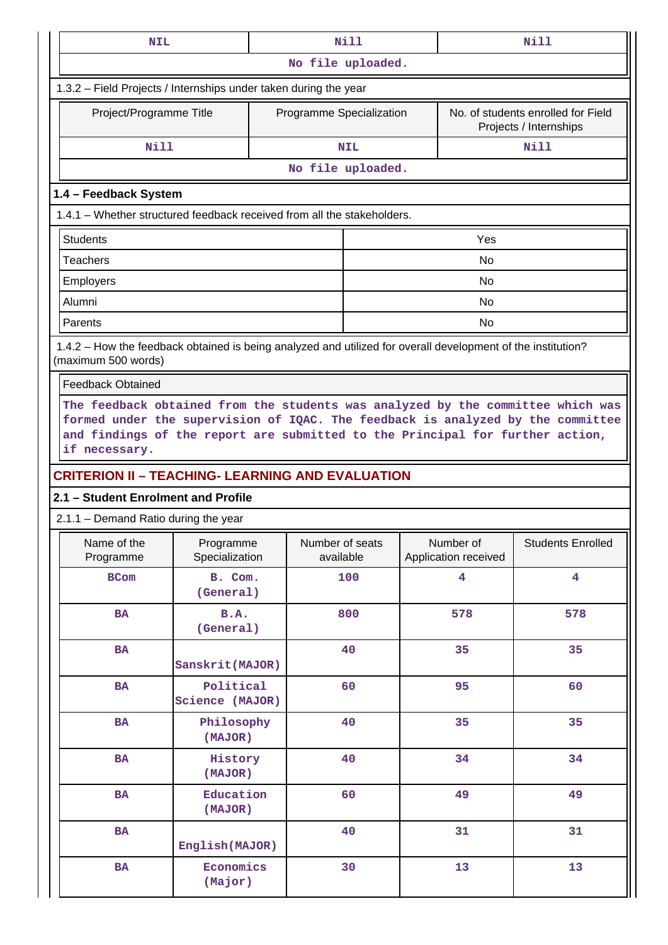| <b>NIL</b>                                                                                                                          |                                                                                                                                                                                                                                                     | <b>Nill</b> |                              |                                   |                                                              | Nill                     |  |  |  |
|-------------------------------------------------------------------------------------------------------------------------------------|-----------------------------------------------------------------------------------------------------------------------------------------------------------------------------------------------------------------------------------------------------|-------------|------------------------------|-----------------------------------|--------------------------------------------------------------|--------------------------|--|--|--|
|                                                                                                                                     | No file uploaded.                                                                                                                                                                                                                                   |             |                              |                                   |                                                              |                          |  |  |  |
| 1.3.2 - Field Projects / Internships under taken during the year                                                                    |                                                                                                                                                                                                                                                     |             |                              |                                   |                                                              |                          |  |  |  |
| Project/Programme Title                                                                                                             |                                                                                                                                                                                                                                                     |             | Programme Specialization     |                                   | No. of students enrolled for Field<br>Projects / Internships |                          |  |  |  |
| <b>Nill</b>                                                                                                                         |                                                                                                                                                                                                                                                     |             | <b>NIL</b>                   |                                   |                                                              | <b>Nill</b>              |  |  |  |
|                                                                                                                                     |                                                                                                                                                                                                                                                     |             | No file uploaded.            |                                   |                                                              |                          |  |  |  |
|                                                                                                                                     | 1.4 - Feedback System                                                                                                                                                                                                                               |             |                              |                                   |                                                              |                          |  |  |  |
| 1.4.1 - Whether structured feedback received from all the stakeholders.                                                             |                                                                                                                                                                                                                                                     |             |                              |                                   |                                                              |                          |  |  |  |
| <b>Students</b>                                                                                                                     |                                                                                                                                                                                                                                                     |             |                              |                                   | Yes                                                          |                          |  |  |  |
| <b>Teachers</b>                                                                                                                     |                                                                                                                                                                                                                                                     |             |                              |                                   | <b>No</b>                                                    |                          |  |  |  |
| Employers                                                                                                                           |                                                                                                                                                                                                                                                     |             |                              |                                   | No                                                           |                          |  |  |  |
| Alumni                                                                                                                              |                                                                                                                                                                                                                                                     |             |                              |                                   | No                                                           |                          |  |  |  |
| Parents                                                                                                                             |                                                                                                                                                                                                                                                     |             |                              |                                   | <b>No</b>                                                    |                          |  |  |  |
| 1.4.2 - How the feedback obtained is being analyzed and utilized for overall development of the institution?<br>(maximum 500 words) |                                                                                                                                                                                                                                                     |             |                              |                                   |                                                              |                          |  |  |  |
| <b>Feedback Obtained</b>                                                                                                            |                                                                                                                                                                                                                                                     |             |                              |                                   |                                                              |                          |  |  |  |
| if necessary.                                                                                                                       | The feedback obtained from the students was analyzed by the committee which was<br>formed under the supervision of IQAC. The feedback is analyzed by the committee<br>and findings of the report are submitted to the Principal for further action, |             |                              |                                   |                                                              |                          |  |  |  |
| <b>CRITERION II - TEACHING- LEARNING AND EVALUATION</b>                                                                             |                                                                                                                                                                                                                                                     |             |                              |                                   |                                                              |                          |  |  |  |
| 2.1 - Student Enrolment and Profile                                                                                                 |                                                                                                                                                                                                                                                     |             |                              |                                   |                                                              |                          |  |  |  |
| 2.1.1 – Demand Ratio during the year                                                                                                |                                                                                                                                                                                                                                                     |             |                              |                                   |                                                              |                          |  |  |  |
| Name of the<br>Programme                                                                                                            | Programme<br>Specialization                                                                                                                                                                                                                         |             | Number of seats<br>available | Number of<br>Application received |                                                              | <b>Students Enrolled</b> |  |  |  |
| <b>BCom</b>                                                                                                                         | B. Com.<br>(General)                                                                                                                                                                                                                                |             | 100                          | $\overline{\mathbf{4}}$           |                                                              | $\overline{\mathbf{4}}$  |  |  |  |
| <b>BA</b>                                                                                                                           | <b>B.A.</b><br>(General)                                                                                                                                                                                                                            |             | 800                          | 578                               |                                                              | 578                      |  |  |  |
| BA                                                                                                                                  | Sanskrit (MAJOR)                                                                                                                                                                                                                                    |             | 40                           | 35                                |                                                              | 35                       |  |  |  |
| BA                                                                                                                                  | Political<br>Science (MAJOR)                                                                                                                                                                                                                        |             | 60                           | 95                                |                                                              | 60                       |  |  |  |
| BA                                                                                                                                  | Philosophy<br>(MAJOR)                                                                                                                                                                                                                               |             | 40                           | 35                                |                                                              | 35                       |  |  |  |
| BA                                                                                                                                  | History<br>(MAJOR)                                                                                                                                                                                                                                  |             | 40                           | 34                                |                                                              | 34                       |  |  |  |
| BA                                                                                                                                  | Education<br>(MAJOR)                                                                                                                                                                                                                                |             | 60                           | 49                                |                                                              | 49                       |  |  |  |
| BA                                                                                                                                  | English (MAJOR)                                                                                                                                                                                                                                     |             | 40                           | 31                                |                                                              | 31                       |  |  |  |
| BA                                                                                                                                  | Economics<br>(Major)                                                                                                                                                                                                                                |             | 30                           | 13                                |                                                              | 13                       |  |  |  |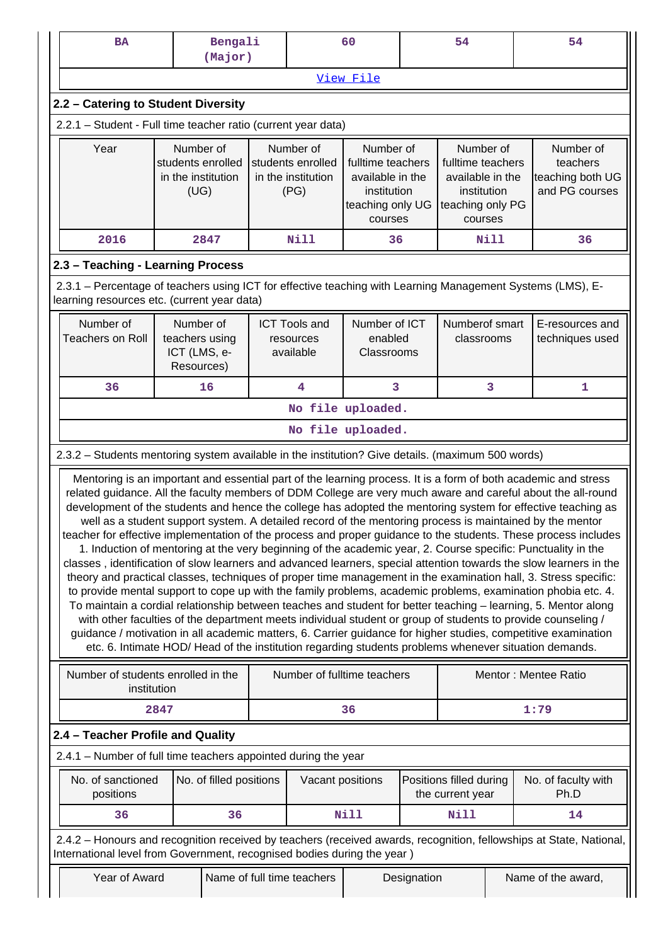| <b>BA</b>                                                                                                                                                                                                                                                                                                                                                                                                                                                                                                                                                                                                                                                                                                                                                                                                                                                                                                                                                                                                                                                                                                                                                                                                                                                                                                                                                                                                                                                                                                          |      | Bengali<br>(Major)                                           |  |                                                              | 60                                                                                               | 54          |                                                                                                  |  | 54                                                          |
|--------------------------------------------------------------------------------------------------------------------------------------------------------------------------------------------------------------------------------------------------------------------------------------------------------------------------------------------------------------------------------------------------------------------------------------------------------------------------------------------------------------------------------------------------------------------------------------------------------------------------------------------------------------------------------------------------------------------------------------------------------------------------------------------------------------------------------------------------------------------------------------------------------------------------------------------------------------------------------------------------------------------------------------------------------------------------------------------------------------------------------------------------------------------------------------------------------------------------------------------------------------------------------------------------------------------------------------------------------------------------------------------------------------------------------------------------------------------------------------------------------------------|------|--------------------------------------------------------------|--|--------------------------------------------------------------|--------------------------------------------------------------------------------------------------|-------------|--------------------------------------------------------------------------------------------------|--|-------------------------------------------------------------|
| View File                                                                                                                                                                                                                                                                                                                                                                                                                                                                                                                                                                                                                                                                                                                                                                                                                                                                                                                                                                                                                                                                                                                                                                                                                                                                                                                                                                                                                                                                                                          |      |                                                              |  |                                                              |                                                                                                  |             |                                                                                                  |  |                                                             |
| 2.2 - Catering to Student Diversity                                                                                                                                                                                                                                                                                                                                                                                                                                                                                                                                                                                                                                                                                                                                                                                                                                                                                                                                                                                                                                                                                                                                                                                                                                                                                                                                                                                                                                                                                |      |                                                              |  |                                                              |                                                                                                  |             |                                                                                                  |  |                                                             |
| 2.2.1 - Student - Full time teacher ratio (current year data)                                                                                                                                                                                                                                                                                                                                                                                                                                                                                                                                                                                                                                                                                                                                                                                                                                                                                                                                                                                                                                                                                                                                                                                                                                                                                                                                                                                                                                                      |      |                                                              |  |                                                              |                                                                                                  |             |                                                                                                  |  |                                                             |
| Year                                                                                                                                                                                                                                                                                                                                                                                                                                                                                                                                                                                                                                                                                                                                                                                                                                                                                                                                                                                                                                                                                                                                                                                                                                                                                                                                                                                                                                                                                                               |      | Number of<br>students enrolled<br>in the institution<br>(UG) |  | Number of<br>students enrolled<br>in the institution<br>(PG) | Number of<br>fulltime teachers<br>available in the<br>institution<br>teaching only UG<br>courses |             | Number of<br>fulltime teachers<br>available in the<br>institution<br>teaching only PG<br>courses |  | Number of<br>teachers<br>teaching both UG<br>and PG courses |
| 2016                                                                                                                                                                                                                                                                                                                                                                                                                                                                                                                                                                                                                                                                                                                                                                                                                                                                                                                                                                                                                                                                                                                                                                                                                                                                                                                                                                                                                                                                                                               |      | 2847                                                         |  | <b>Nill</b>                                                  | 36                                                                                               |             | Nill                                                                                             |  | 36                                                          |
| 2.3 - Teaching - Learning Process                                                                                                                                                                                                                                                                                                                                                                                                                                                                                                                                                                                                                                                                                                                                                                                                                                                                                                                                                                                                                                                                                                                                                                                                                                                                                                                                                                                                                                                                                  |      |                                                              |  |                                                              |                                                                                                  |             |                                                                                                  |  |                                                             |
| 2.3.1 - Percentage of teachers using ICT for effective teaching with Learning Management Systems (LMS), E-<br>learning resources etc. (current year data)                                                                                                                                                                                                                                                                                                                                                                                                                                                                                                                                                                                                                                                                                                                                                                                                                                                                                                                                                                                                                                                                                                                                                                                                                                                                                                                                                          |      |                                                              |  |                                                              |                                                                                                  |             |                                                                                                  |  |                                                             |
| Number of<br><b>Teachers on Roll</b>                                                                                                                                                                                                                                                                                                                                                                                                                                                                                                                                                                                                                                                                                                                                                                                                                                                                                                                                                                                                                                                                                                                                                                                                                                                                                                                                                                                                                                                                               |      | Number of<br>teachers using<br>ICT (LMS, e-<br>Resources)    |  | <b>ICT Tools and</b><br>resources<br>available               | Number of ICT<br>enabled<br>Classrooms                                                           |             | Numberof smart<br>classrooms                                                                     |  | E-resources and<br>techniques used                          |
| 36                                                                                                                                                                                                                                                                                                                                                                                                                                                                                                                                                                                                                                                                                                                                                                                                                                                                                                                                                                                                                                                                                                                                                                                                                                                                                                                                                                                                                                                                                                                 |      | 16                                                           |  | 4                                                            | 3                                                                                                |             | 3                                                                                                |  | 1                                                           |
|                                                                                                                                                                                                                                                                                                                                                                                                                                                                                                                                                                                                                                                                                                                                                                                                                                                                                                                                                                                                                                                                                                                                                                                                                                                                                                                                                                                                                                                                                                                    |      |                                                              |  |                                                              | No file uploaded.                                                                                |             |                                                                                                  |  |                                                             |
|                                                                                                                                                                                                                                                                                                                                                                                                                                                                                                                                                                                                                                                                                                                                                                                                                                                                                                                                                                                                                                                                                                                                                                                                                                                                                                                                                                                                                                                                                                                    |      |                                                              |  |                                                              | No file uploaded.                                                                                |             |                                                                                                  |  |                                                             |
| 2.3.2 - Students mentoring system available in the institution? Give details. (maximum 500 words)                                                                                                                                                                                                                                                                                                                                                                                                                                                                                                                                                                                                                                                                                                                                                                                                                                                                                                                                                                                                                                                                                                                                                                                                                                                                                                                                                                                                                  |      |                                                              |  |                                                              |                                                                                                  |             |                                                                                                  |  |                                                             |
| Mentoring is an important and essential part of the learning process. It is a form of both academic and stress<br>related guidance. All the faculty members of DDM College are very much aware and careful about the all-round<br>development of the students and hence the college has adopted the mentoring system for effective teaching as<br>well as a student support system. A detailed record of the mentoring process is maintained by the mentor<br>teacher for effective implementation of the process and proper guidance to the students. These process includes<br>1. Induction of mentoring at the very beginning of the academic year, 2. Course specific: Punctuality in the<br>classes, identification of slow learners and advanced learners, special attention towards the slow learners in the<br>theory and practical classes, techniques of proper time management in the examination hall, 3. Stress specific:<br>to provide mental support to cope up with the family problems, academic problems, examination phobia etc. 4.<br>To maintain a cordial relationship between teaches and student for better teaching - learning, 5. Mentor along<br>with other faculties of the department meets individual student or group of students to provide counseling /<br>guidance / motivation in all academic matters, 6. Carrier guidance for higher studies, competitive examination<br>etc. 6. Intimate HOD/Head of the institution regarding students problems whenever situation demands. |      |                                                              |  |                                                              |                                                                                                  |             |                                                                                                  |  |                                                             |
| Number of students enrolled in the<br>institution                                                                                                                                                                                                                                                                                                                                                                                                                                                                                                                                                                                                                                                                                                                                                                                                                                                                                                                                                                                                                                                                                                                                                                                                                                                                                                                                                                                                                                                                  |      |                                                              |  |                                                              | Number of fulltime teachers                                                                      |             |                                                                                                  |  | Mentor: Mentee Ratio                                        |
|                                                                                                                                                                                                                                                                                                                                                                                                                                                                                                                                                                                                                                                                                                                                                                                                                                                                                                                                                                                                                                                                                                                                                                                                                                                                                                                                                                                                                                                                                                                    | 2847 |                                                              |  |                                                              | 36                                                                                               |             |                                                                                                  |  | 1:79                                                        |
| 2.4 - Teacher Profile and Quality                                                                                                                                                                                                                                                                                                                                                                                                                                                                                                                                                                                                                                                                                                                                                                                                                                                                                                                                                                                                                                                                                                                                                                                                                                                                                                                                                                                                                                                                                  |      |                                                              |  |                                                              |                                                                                                  |             |                                                                                                  |  |                                                             |
| 2.4.1 – Number of full time teachers appointed during the year                                                                                                                                                                                                                                                                                                                                                                                                                                                                                                                                                                                                                                                                                                                                                                                                                                                                                                                                                                                                                                                                                                                                                                                                                                                                                                                                                                                                                                                     |      |                                                              |  |                                                              |                                                                                                  |             |                                                                                                  |  |                                                             |
| No. of sanctioned<br>positions                                                                                                                                                                                                                                                                                                                                                                                                                                                                                                                                                                                                                                                                                                                                                                                                                                                                                                                                                                                                                                                                                                                                                                                                                                                                                                                                                                                                                                                                                     |      | No. of filled positions                                      |  | Vacant positions                                             |                                                                                                  |             | Positions filled during<br>the current year                                                      |  | No. of faculty with<br>Ph.D                                 |
| 36                                                                                                                                                                                                                                                                                                                                                                                                                                                                                                                                                                                                                                                                                                                                                                                                                                                                                                                                                                                                                                                                                                                                                                                                                                                                                                                                                                                                                                                                                                                 |      | 36                                                           |  |                                                              | <b>Nill</b>                                                                                      |             | <b>Nill</b>                                                                                      |  | 14                                                          |
| 2.4.2 - Honours and recognition received by teachers (received awards, recognition, fellowships at State, National,<br>International level from Government, recognised bodies during the year)                                                                                                                                                                                                                                                                                                                                                                                                                                                                                                                                                                                                                                                                                                                                                                                                                                                                                                                                                                                                                                                                                                                                                                                                                                                                                                                     |      |                                                              |  |                                                              |                                                                                                  |             |                                                                                                  |  |                                                             |
| Year of Award                                                                                                                                                                                                                                                                                                                                                                                                                                                                                                                                                                                                                                                                                                                                                                                                                                                                                                                                                                                                                                                                                                                                                                                                                                                                                                                                                                                                                                                                                                      |      |                                                              |  | Name of full time teachers                                   |                                                                                                  | Designation |                                                                                                  |  | Name of the award,                                          |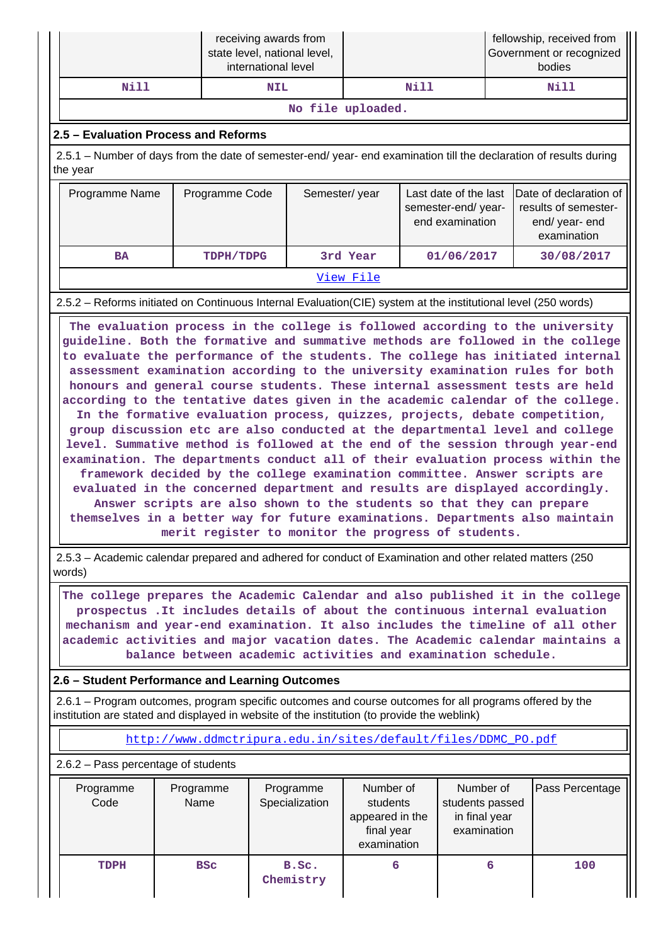|      | receiving awards from<br>state level, national level,<br>international level |      | fellowship, received from<br>Government or recognized<br>bodies |  |  |  |
|------|------------------------------------------------------------------------------|------|-----------------------------------------------------------------|--|--|--|
| Nill | <b>NIL</b>                                                                   | Nill | Nill                                                            |  |  |  |
|      |                                                                              |      |                                                                 |  |  |  |

#### **No file uploaded.**

## **2.5 – Evaluation Process and Reforms**

 2.5.1 – Number of days from the date of semester-end/ year- end examination till the declaration of results during the year

| Programme Name | Programme Code | Semester/year | Last date of the last<br>semester-end/year-<br>end examination | Date of declaration of<br>results of semester-<br>end/year-end<br>examination |
|----------------|----------------|---------------|----------------------------------------------------------------|-------------------------------------------------------------------------------|
| <b>BA</b>      | TDPH/TDPG      | 3rd Year      | 01/06/2017                                                     | 30/08/2017                                                                    |
|                |                | View File     |                                                                |                                                                               |

2.5.2 – Reforms initiated on Continuous Internal Evaluation(CIE) system at the institutional level (250 words)

 **The evaluation process in the college is followed according to the university guideline. Both the formative and summative methods are followed in the college to evaluate the performance of the students. The college has initiated internal assessment examination according to the university examination rules for both honours and general course students. These internal assessment tests are held according to the tentative dates given in the academic calendar of the college. In the formative evaluation process, quizzes, projects, debate competition, group discussion etc are also conducted at the departmental level and college level. Summative method is followed at the end of the session through year-end examination. The departments conduct all of their evaluation process within the framework decided by the college examination committee. Answer scripts are evaluated in the concerned department and results are displayed accordingly. Answer scripts are also shown to the students so that they can prepare themselves in a better way for future examinations. Departments also maintain merit register to monitor the progress of students.**

 2.5.3 – Academic calendar prepared and adhered for conduct of Examination and other related matters (250 words)

 **The college prepares the Academic Calendar and also published it in the college prospectus .It includes details of about the continuous internal evaluation mechanism and year-end examination. It also includes the timeline of all other academic activities and major vacation dates. The Academic calendar maintains a balance between academic activities and examination schedule.**

### **2.6 – Student Performance and Learning Outcomes**

 2.6.1 – Program outcomes, program specific outcomes and course outcomes for all programs offered by the institution are stated and displayed in website of the institution (to provide the weblink)

[http://www.ddmctripura.edu.in/sites/default/files/DDMC\\_PO.pdf](http://www.ddmctripura.edu.in/sites/default/files/DDMC_PO.pdf)

2.6.2 – Pass percentage of students

| Programme<br>Code | Programme<br>Name | Programme<br>Specialization | Number of<br>students<br>appeared in the<br>final year<br>examination | Number of<br>students passed<br>in final year<br>examination | Pass Percentage |
|-------------------|-------------------|-----------------------------|-----------------------------------------------------------------------|--------------------------------------------------------------|-----------------|
| TDPH              | <b>BSC</b>        | B.Sc.<br>Chemistry          | 6                                                                     | 6                                                            | 100             |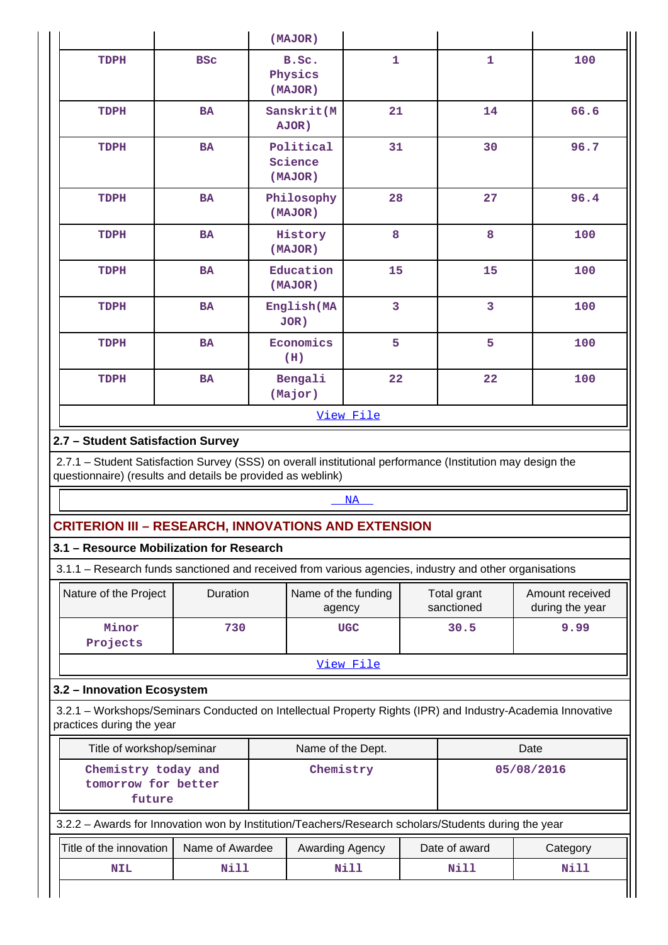| $\mathbf{1}$<br>100<br><b>BSC</b><br>B.Sc.<br>1<br>TDPH<br>Physics<br>(MAJOR)<br>Sanskrit(M<br>14<br>66.6<br><b>BA</b><br>21<br>TDPH<br>AJOR)<br>31<br>96.7<br>30<br><b>BA</b><br>Political<br>TDPH<br>Science<br>(MAJOR)<br>28<br>96.4<br><b>BA</b><br>Philosophy<br>27<br>TDPH<br>(MAJOR)<br>8<br>8<br>100<br>History<br>TDPH<br><b>BA</b><br>(MAJOR)<br>Education<br>15<br>100<br>TDPH<br><b>BA</b><br>15<br>(MAJOR)<br>$\overline{\mathbf{3}}$<br>3<br>100<br><b>BA</b><br>English (MA<br>TDPH<br>$JOR$ )<br>Economics<br>5<br>5<br><b>BA</b><br>100<br>TDPH<br>(H)<br>22<br>22<br>Bengali<br>100<br>TDPH<br><b>BA</b><br>(Major)<br>View File<br>2.7 - Student Satisfaction Survey<br>2.7.1 - Student Satisfaction Survey (SSS) on overall institutional performance (Institution may design the<br>questionnaire) (results and details be provided as weblink)<br>NA |
|----------------------------------------------------------------------------------------------------------------------------------------------------------------------------------------------------------------------------------------------------------------------------------------------------------------------------------------------------------------------------------------------------------------------------------------------------------------------------------------------------------------------------------------------------------------------------------------------------------------------------------------------------------------------------------------------------------------------------------------------------------------------------------------------------------------------------------------------------------------------------|
|                                                                                                                                                                                                                                                                                                                                                                                                                                                                                                                                                                                                                                                                                                                                                                                                                                                                            |
|                                                                                                                                                                                                                                                                                                                                                                                                                                                                                                                                                                                                                                                                                                                                                                                                                                                                            |
|                                                                                                                                                                                                                                                                                                                                                                                                                                                                                                                                                                                                                                                                                                                                                                                                                                                                            |
|                                                                                                                                                                                                                                                                                                                                                                                                                                                                                                                                                                                                                                                                                                                                                                                                                                                                            |
|                                                                                                                                                                                                                                                                                                                                                                                                                                                                                                                                                                                                                                                                                                                                                                                                                                                                            |
|                                                                                                                                                                                                                                                                                                                                                                                                                                                                                                                                                                                                                                                                                                                                                                                                                                                                            |
|                                                                                                                                                                                                                                                                                                                                                                                                                                                                                                                                                                                                                                                                                                                                                                                                                                                                            |
|                                                                                                                                                                                                                                                                                                                                                                                                                                                                                                                                                                                                                                                                                                                                                                                                                                                                            |
|                                                                                                                                                                                                                                                                                                                                                                                                                                                                                                                                                                                                                                                                                                                                                                                                                                                                            |
|                                                                                                                                                                                                                                                                                                                                                                                                                                                                                                                                                                                                                                                                                                                                                                                                                                                                            |
|                                                                                                                                                                                                                                                                                                                                                                                                                                                                                                                                                                                                                                                                                                                                                                                                                                                                            |
|                                                                                                                                                                                                                                                                                                                                                                                                                                                                                                                                                                                                                                                                                                                                                                                                                                                                            |
|                                                                                                                                                                                                                                                                                                                                                                                                                                                                                                                                                                                                                                                                                                                                                                                                                                                                            |
|                                                                                                                                                                                                                                                                                                                                                                                                                                                                                                                                                                                                                                                                                                                                                                                                                                                                            |
|                                                                                                                                                                                                                                                                                                                                                                                                                                                                                                                                                                                                                                                                                                                                                                                                                                                                            |
| <b>CRITERION III - RESEARCH, INNOVATIONS AND EXTENSION</b>                                                                                                                                                                                                                                                                                                                                                                                                                                                                                                                                                                                                                                                                                                                                                                                                                 |
| 3.1 - Resource Mobilization for Research                                                                                                                                                                                                                                                                                                                                                                                                                                                                                                                                                                                                                                                                                                                                                                                                                                   |
| 3.1.1 - Research funds sanctioned and received from various agencies, industry and other organisations                                                                                                                                                                                                                                                                                                                                                                                                                                                                                                                                                                                                                                                                                                                                                                     |
| Duration<br>Nature of the Project<br>Name of the funding<br>Total grant<br>Amount received                                                                                                                                                                                                                                                                                                                                                                                                                                                                                                                                                                                                                                                                                                                                                                                 |
| sanctioned<br>during the year<br>agency                                                                                                                                                                                                                                                                                                                                                                                                                                                                                                                                                                                                                                                                                                                                                                                                                                    |
| Minor<br>9.99<br>730<br>30.5<br><b>UGC</b>                                                                                                                                                                                                                                                                                                                                                                                                                                                                                                                                                                                                                                                                                                                                                                                                                                 |
|                                                                                                                                                                                                                                                                                                                                                                                                                                                                                                                                                                                                                                                                                                                                                                                                                                                                            |
|                                                                                                                                                                                                                                                                                                                                                                                                                                                                                                                                                                                                                                                                                                                                                                                                                                                                            |
| Projects                                                                                                                                                                                                                                                                                                                                                                                                                                                                                                                                                                                                                                                                                                                                                                                                                                                                   |
| View File                                                                                                                                                                                                                                                                                                                                                                                                                                                                                                                                                                                                                                                                                                                                                                                                                                                                  |
|                                                                                                                                                                                                                                                                                                                                                                                                                                                                                                                                                                                                                                                                                                                                                                                                                                                                            |
|                                                                                                                                                                                                                                                                                                                                                                                                                                                                                                                                                                                                                                                                                                                                                                                                                                                                            |
| Title of workshop/seminar<br>Name of the Dept.<br>Date                                                                                                                                                                                                                                                                                                                                                                                                                                                                                                                                                                                                                                                                                                                                                                                                                     |
| Chemistry<br>Chemistry today and<br>05/08/2016                                                                                                                                                                                                                                                                                                                                                                                                                                                                                                                                                                                                                                                                                                                                                                                                                             |
| tomorrow for better<br>future                                                                                                                                                                                                                                                                                                                                                                                                                                                                                                                                                                                                                                                                                                                                                                                                                                              |
|                                                                                                                                                                                                                                                                                                                                                                                                                                                                                                                                                                                                                                                                                                                                                                                                                                                                            |
| 3.2 - Innovation Ecosystem<br>3.2.1 - Workshops/Seminars Conducted on Intellectual Property Rights (IPR) and Industry-Academia Innovative<br>practices during the year<br>3.2.2 - Awards for Innovation won by Institution/Teachers/Research scholars/Students during the year<br>Name of Awardee<br>Title of the innovation<br>Awarding Agency<br>Date of award<br>Category                                                                                                                                                                                                                                                                                                                                                                                                                                                                                               |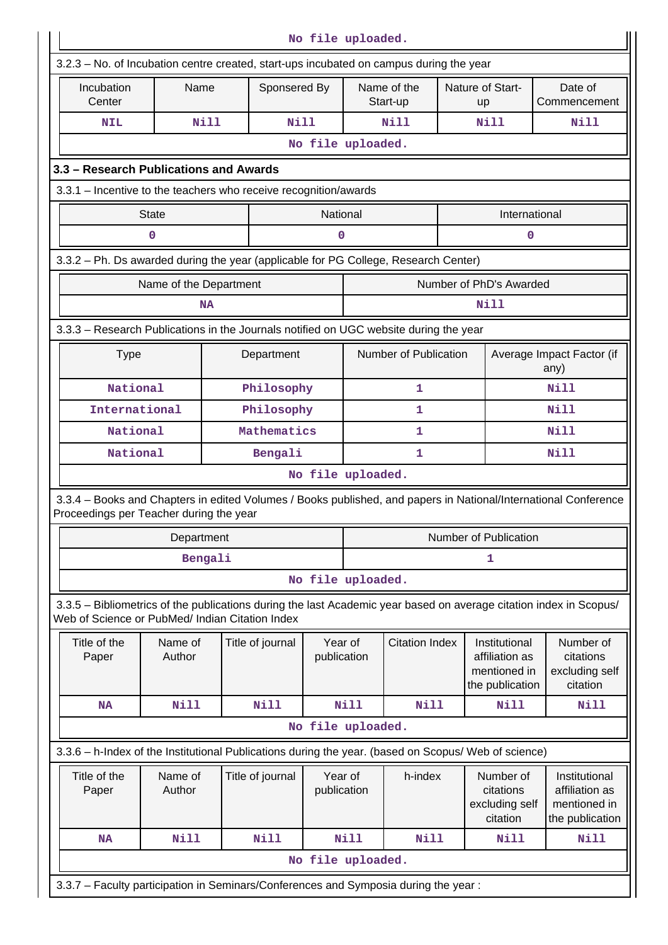| No file uploaded.                                                                                                                                          |                   |              |                  |                        |                           |                       |                        |                                                                    |                                                                                                                    |
|------------------------------------------------------------------------------------------------------------------------------------------------------------|-------------------|--------------|------------------|------------------------|---------------------------|-----------------------|------------------------|--------------------------------------------------------------------|--------------------------------------------------------------------------------------------------------------------|
| 3.2.3 – No. of Incubation centre created, start-ups incubated on campus during the year                                                                    |                   |              |                  |                        |                           |                       |                        |                                                                    |                                                                                                                    |
| Incubation<br>Center                                                                                                                                       | Name              | Sponsered By |                  |                        | Name of the<br>Start-up   |                       | Nature of Start-<br>up | Date of<br>Commencement                                            |                                                                                                                    |
| <b>NIL</b>                                                                                                                                                 |                   | <b>Nill</b>  | Nill             |                        |                           | Nill                  |                        | Nill                                                               | Nill                                                                                                               |
|                                                                                                                                                            |                   |              |                  | No file uploaded.      |                           |                       |                        |                                                                    |                                                                                                                    |
| 3.3 - Research Publications and Awards                                                                                                                     |                   |              |                  |                        |                           |                       |                        |                                                                    |                                                                                                                    |
| 3.3.1 – Incentive to the teachers who receive recognition/awards                                                                                           |                   |              |                  |                        |                           |                       |                        |                                                                    |                                                                                                                    |
|                                                                                                                                                            | <b>State</b>      |              |                  |                        | National<br>International |                       |                        |                                                                    |                                                                                                                    |
|                                                                                                                                                            | 0                 |              |                  | $\mathbf 0$            |                           |                       |                        | 0                                                                  |                                                                                                                    |
| 3.3.2 - Ph. Ds awarded during the year (applicable for PG College, Research Center)                                                                        |                   |              |                  |                        |                           |                       |                        |                                                                    |                                                                                                                    |
| Number of PhD's Awarded<br>Name of the Department                                                                                                          |                   |              |                  |                        |                           |                       |                        |                                                                    |                                                                                                                    |
|                                                                                                                                                            |                   | <b>NA</b>    |                  |                        |                           |                       |                        | Nill                                                               |                                                                                                                    |
| 3.3.3 - Research Publications in the Journals notified on UGC website during the year                                                                      |                   |              |                  |                        |                           |                       |                        |                                                                    |                                                                                                                    |
| Number of Publication<br>Average Impact Factor (if<br><b>Type</b><br>Department<br>any)                                                                    |                   |              |                  |                        |                           |                       |                        |                                                                    |                                                                                                                    |
| National                                                                                                                                                   |                   | Philosophy   |                  |                        | 1                         |                       |                        | Nill                                                               |                                                                                                                    |
| International                                                                                                                                              |                   |              | Philosophy       |                        |                           | 1                     |                        |                                                                    | Nill                                                                                                               |
| National                                                                                                                                                   |                   |              | Mathematics      |                        |                           | 1                     |                        |                                                                    | Nill                                                                                                               |
| National                                                                                                                                                   |                   |              | Bengali          |                        |                           | 1                     |                        |                                                                    | Nill                                                                                                               |
|                                                                                                                                                            |                   |              |                  | No file uploaded.      |                           |                       |                        |                                                                    |                                                                                                                    |
| 3.3.4 – Books and Chapters in edited Volumes / Books published, and papers in National/International Conference<br>Proceedings per Teacher during the year |                   |              |                  |                        |                           |                       |                        |                                                                    |                                                                                                                    |
|                                                                                                                                                            | Department        |              |                  |                        |                           |                       |                        | Number of Publication                                              |                                                                                                                    |
|                                                                                                                                                            |                   | Bengali      |                  |                        | 1                         |                       |                        |                                                                    |                                                                                                                    |
|                                                                                                                                                            |                   |              |                  | No file uploaded.      |                           |                       |                        |                                                                    |                                                                                                                    |
| Web of Science or PubMed/ Indian Citation Index                                                                                                            |                   |              |                  |                        |                           |                       |                        |                                                                    | 3.3.5 - Bibliometrics of the publications during the last Academic year based on average citation index in Scopus/ |
| Title of the<br>Paper                                                                                                                                      | Name of<br>Author |              | Title of journal | Year of<br>publication |                           | <b>Citation Index</b> |                        | Institutional<br>affiliation as<br>mentioned in<br>the publication | Number of<br>citations<br>excluding self<br>citation                                                               |
| <b>NA</b>                                                                                                                                                  | <b>Nill</b>       |              | <b>Nill</b>      |                        | Nill                      | <b>Nill</b>           |                        | Nill                                                               | Nill                                                                                                               |
|                                                                                                                                                            |                   |              |                  | No file uploaded.      |                           |                       |                        |                                                                    |                                                                                                                    |
| 3.3.6 - h-Index of the Institutional Publications during the year. (based on Scopus/ Web of science)                                                       |                   |              |                  |                        |                           |                       |                        |                                                                    |                                                                                                                    |
| Title of the<br>Paper                                                                                                                                      | Name of<br>Author |              | Title of journal | Year of<br>publication |                           | h-index               |                        | Number of<br>citations<br>excluding self<br>citation               | Institutional<br>affiliation as<br>mentioned in<br>the publication                                                 |
| <b>NA</b>                                                                                                                                                  | <b>Nill</b>       |              | <b>Nill</b>      |                        | Nill                      | <b>Nill</b>           |                        | Nill                                                               | <b>Nill</b>                                                                                                        |
|                                                                                                                                                            |                   |              |                  | No file uploaded.      |                           |                       |                        |                                                                    |                                                                                                                    |
| 3.3.7 - Faculty participation in Seminars/Conferences and Symposia during the year:                                                                        |                   |              |                  |                        |                           |                       |                        |                                                                    |                                                                                                                    |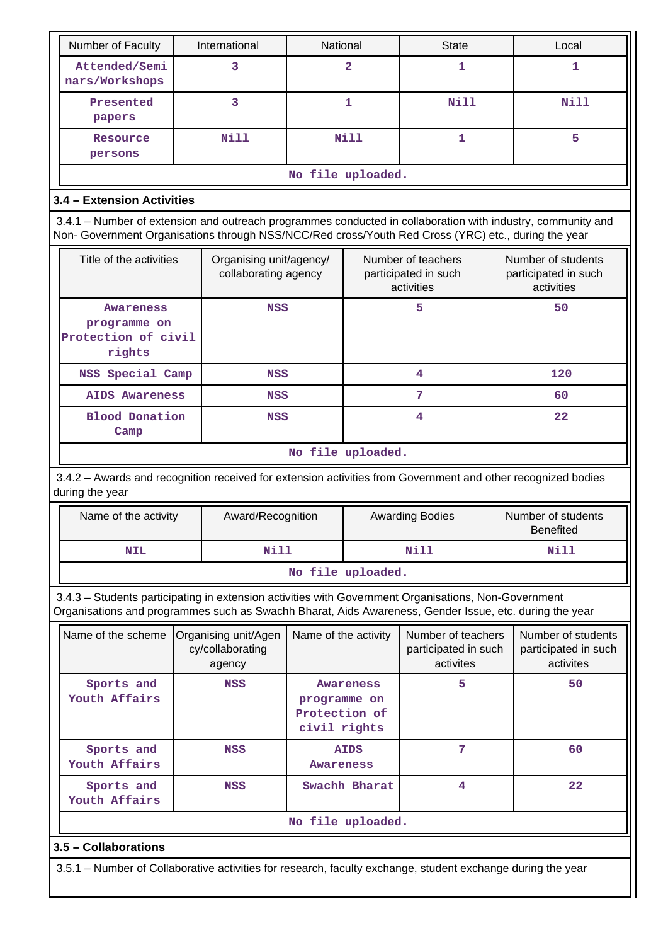| Number of Faculty                                                                                                                                                                                                  | International                                      |                   | National                                                 |                   | <b>State</b>                                            |                                                          | Local                                                   |  |
|--------------------------------------------------------------------------------------------------------------------------------------------------------------------------------------------------------------------|----------------------------------------------------|-------------------|----------------------------------------------------------|-------------------|---------------------------------------------------------|----------------------------------------------------------|---------------------------------------------------------|--|
| Attended/Semi<br>nars/Workshops                                                                                                                                                                                    | 3                                                  |                   |                                                          | $\overline{a}$    | 1                                                       |                                                          | 1                                                       |  |
| Presented<br>papers                                                                                                                                                                                                | 3                                                  |                   | 1                                                        |                   | Nill                                                    |                                                          | Nill                                                    |  |
| Resource<br>persons                                                                                                                                                                                                | <b>Nill</b>                                        |                   | <b>Nill</b><br>1                                         |                   |                                                         | 5                                                        |                                                         |  |
|                                                                                                                                                                                                                    |                                                    |                   |                                                          | No file uploaded. |                                                         |                                                          |                                                         |  |
| 3.4 - Extension Activities                                                                                                                                                                                         |                                                    |                   |                                                          |                   |                                                         |                                                          |                                                         |  |
| 3.4.1 – Number of extension and outreach programmes conducted in collaboration with industry, community and<br>Non- Government Organisations through NSS/NCC/Red cross/Youth Red Cross (YRC) etc., during the year |                                                    |                   |                                                          |                   |                                                         |                                                          |                                                         |  |
| Title of the activities                                                                                                                                                                                            | Organising unit/agency/<br>collaborating agency    |                   | Number of teachers<br>participated in such<br>activities |                   |                                                         | Number of students<br>participated in such<br>activities |                                                         |  |
| Awareness<br>programme on<br>Protection of civil<br>rights                                                                                                                                                         |                                                    | <b>NSS</b>        |                                                          |                   | 5                                                       |                                                          | 50                                                      |  |
| NSS Special Camp                                                                                                                                                                                                   |                                                    | <b>NSS</b>        |                                                          |                   | 4                                                       |                                                          | 120                                                     |  |
| <b>AIDS Awareness</b>                                                                                                                                                                                              |                                                    | <b>NSS</b>        |                                                          |                   | 7                                                       |                                                          | 60                                                      |  |
| <b>Blood Donation</b><br>Camp                                                                                                                                                                                      |                                                    | <b>NSS</b>        |                                                          |                   | 4                                                       |                                                          | 22                                                      |  |
| No file uploaded.                                                                                                                                                                                                  |                                                    |                   |                                                          |                   |                                                         |                                                          |                                                         |  |
| 3.4.2 - Awards and recognition received for extension activities from Government and other recognized bodies<br>during the year                                                                                    |                                                    |                   |                                                          |                   |                                                         |                                                          |                                                         |  |
| Name of the activity                                                                                                                                                                                               |                                                    | Award/Recognition |                                                          |                   | <b>Awarding Bodies</b>                                  |                                                          | Number of students<br><b>Benefited</b>                  |  |
| <b>NIL</b>                                                                                                                                                                                                         |                                                    | <b>Nill</b>       | <b>Nill</b>                                              |                   |                                                         | <b>Nill</b>                                              |                                                         |  |
|                                                                                                                                                                                                                    |                                                    |                   |                                                          | No file uploaded. |                                                         |                                                          |                                                         |  |
| 3.4.3 - Students participating in extension activities with Government Organisations, Non-Government<br>Organisations and programmes such as Swachh Bharat, Aids Awareness, Gender Issue, etc. during the year     |                                                    |                   |                                                          |                   |                                                         |                                                          |                                                         |  |
| Name of the scheme                                                                                                                                                                                                 | Organising unit/Agen<br>cy/collaborating<br>agency |                   | Name of the activity                                     |                   | Number of teachers<br>participated in such<br>activites |                                                          | Number of students<br>participated in such<br>activites |  |
| Sports and<br>Youth Affairs                                                                                                                                                                                        | <b>NSS</b>                                         |                   | programme on<br>Protection of<br>civil rights            | Awareness         | 5                                                       |                                                          | 50                                                      |  |
| Sports and<br>Youth Affairs                                                                                                                                                                                        | <b>NSS</b>                                         |                   | Awareness                                                | <b>AIDS</b>       | 7                                                       |                                                          | 60                                                      |  |
| Sports and<br>Youth Affairs                                                                                                                                                                                        | <b>NSS</b>                                         |                   |                                                          | Swachh Bharat     | 4                                                       |                                                          | 22                                                      |  |
|                                                                                                                                                                                                                    |                                                    |                   |                                                          | No file uploaded. |                                                         |                                                          |                                                         |  |
| 3.5 - Collaborations                                                                                                                                                                                               |                                                    |                   |                                                          |                   |                                                         |                                                          |                                                         |  |
| 3.5.1 – Number of Collaborative activities for research, faculty exchange, student exchange during the year                                                                                                        |                                                    |                   |                                                          |                   |                                                         |                                                          |                                                         |  |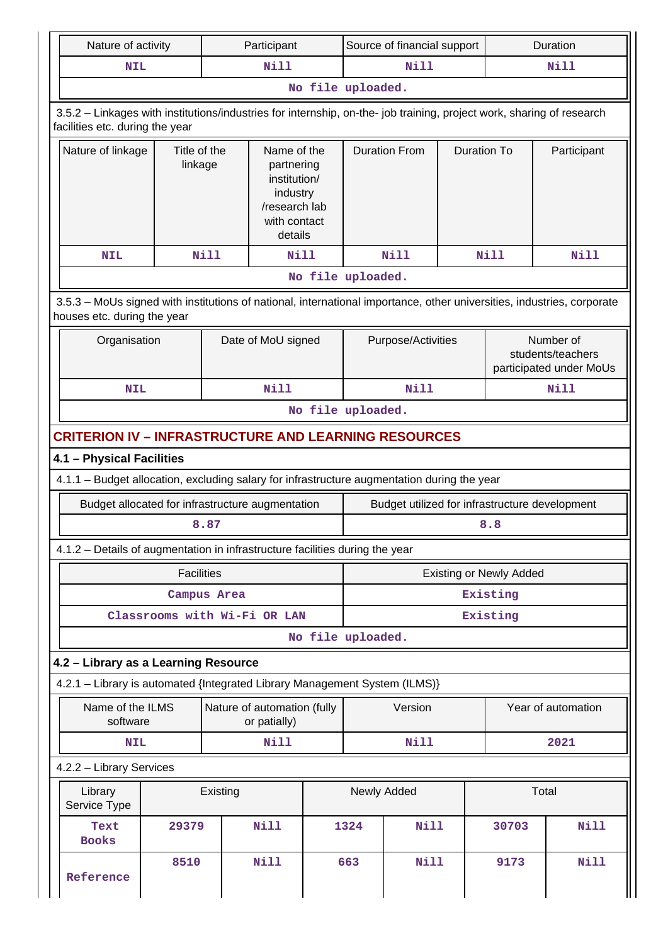| Nature of activity                                                                                                                                       |                                                                                                                                                       |                    | Participant                                 |                                                                                                   | Source of financial support |                      |                                                           | Duration                                       |                    |
|----------------------------------------------------------------------------------------------------------------------------------------------------------|-------------------------------------------------------------------------------------------------------------------------------------------------------|--------------------|---------------------------------------------|---------------------------------------------------------------------------------------------------|-----------------------------|----------------------|-----------------------------------------------------------|------------------------------------------------|--------------------|
| <b>NIL</b>                                                                                                                                               |                                                                                                                                                       |                    | Nill                                        |                                                                                                   | Nill<br>Nill                |                      |                                                           |                                                |                    |
|                                                                                                                                                          |                                                                                                                                                       |                    |                                             |                                                                                                   | No file uploaded.           |                      |                                                           |                                                |                    |
| 3.5.2 - Linkages with institutions/industries for internship, on-the- job training, project work, sharing of research<br>facilities etc. during the year |                                                                                                                                                       |                    |                                             |                                                                                                   |                             |                      |                                                           |                                                |                    |
| Nature of linkage                                                                                                                                        | Title of the<br>linkage                                                                                                                               |                    |                                             | Name of the<br>partnering<br>institution/<br>industry<br>/research lab<br>with contact<br>details |                             | <b>Duration From</b> | <b>Duration To</b>                                        |                                                | Participant        |
| <b>NIL</b>                                                                                                                                               |                                                                                                                                                       | <b>Nill</b>        | Nill                                        |                                                                                                   |                             | <b>Nill</b>          |                                                           | Nill                                           | Nill               |
|                                                                                                                                                          |                                                                                                                                                       |                    |                                             |                                                                                                   | No file uploaded.           |                      |                                                           |                                                |                    |
|                                                                                                                                                          | 3.5.3 - MoUs signed with institutions of national, international importance, other universities, industries, corporate<br>houses etc. during the year |                    |                                             |                                                                                                   |                             |                      |                                                           |                                                |                    |
| Organisation                                                                                                                                             |                                                                                                                                                       | Date of MoU signed |                                             | Purpose/Activities                                                                                |                             |                      | Number of<br>students/teachers<br>participated under MoUs |                                                |                    |
| <b>NIL</b>                                                                                                                                               |                                                                                                                                                       |                    | Nill                                        |                                                                                                   |                             | Nill                 |                                                           |                                                | <b>Nill</b>        |
|                                                                                                                                                          | No file uploaded.                                                                                                                                     |                    |                                             |                                                                                                   |                             |                      |                                                           |                                                |                    |
| <b>CRITERION IV - INFRASTRUCTURE AND LEARNING RESOURCES</b>                                                                                              |                                                                                                                                                       |                    |                                             |                                                                                                   |                             |                      |                                                           |                                                |                    |
| 4.1 - Physical Facilities                                                                                                                                |                                                                                                                                                       |                    |                                             |                                                                                                   |                             |                      |                                                           |                                                |                    |
| 4.1.1 - Budget allocation, excluding salary for infrastructure augmentation during the year                                                              |                                                                                                                                                       |                    |                                             |                                                                                                   |                             |                      |                                                           |                                                |                    |
| Budget allocated for infrastructure augmentation                                                                                                         |                                                                                                                                                       |                    |                                             |                                                                                                   |                             |                      |                                                           | Budget utilized for infrastructure development |                    |
|                                                                                                                                                          |                                                                                                                                                       | 8.87               |                                             |                                                                                                   |                             |                      |                                                           | 8.8                                            |                    |
| 4.1.2 - Details of augmentation in infrastructure facilities during the year                                                                             |                                                                                                                                                       |                    |                                             |                                                                                                   |                             |                      |                                                           |                                                |                    |
|                                                                                                                                                          | <b>Facilities</b>                                                                                                                                     |                    |                                             |                                                                                                   |                             |                      |                                                           | <b>Existing or Newly Added</b>                 |                    |
|                                                                                                                                                          |                                                                                                                                                       | Campus Area        |                                             |                                                                                                   | Existing                    |                      |                                                           |                                                |                    |
|                                                                                                                                                          | Classrooms with Wi-Fi OR LAN                                                                                                                          |                    |                                             |                                                                                                   | Existing                    |                      |                                                           |                                                |                    |
|                                                                                                                                                          |                                                                                                                                                       |                    |                                             |                                                                                                   | No file uploaded.           |                      |                                                           |                                                |                    |
| 4.2 - Library as a Learning Resource                                                                                                                     |                                                                                                                                                       |                    |                                             |                                                                                                   |                             |                      |                                                           |                                                |                    |
| 4.2.1 - Library is automated {Integrated Library Management System (ILMS)}                                                                               |                                                                                                                                                       |                    |                                             |                                                                                                   |                             |                      |                                                           |                                                |                    |
| Name of the ILMS<br>software                                                                                                                             |                                                                                                                                                       |                    | Nature of automation (fully<br>or patially) |                                                                                                   |                             | Version              |                                                           |                                                | Year of automation |
| <b>NIL</b>                                                                                                                                               |                                                                                                                                                       |                    | Nill                                        |                                                                                                   |                             | <b>Nill</b>          |                                                           |                                                | 2021               |
| 4.2.2 - Library Services                                                                                                                                 |                                                                                                                                                       |                    |                                             |                                                                                                   |                             |                      |                                                           |                                                |                    |
| Library<br>Service Type                                                                                                                                  |                                                                                                                                                       | Existing           |                                             |                                                                                                   | Newly Added                 |                      |                                                           |                                                | Total              |
| Text<br><b>Books</b>                                                                                                                                     | 29379                                                                                                                                                 |                    | <b>Nill</b>                                 |                                                                                                   | 1324                        | <b>Nill</b>          |                                                           | 30703                                          | <b>Nill</b>        |
| Reference                                                                                                                                                | 8510                                                                                                                                                  |                    | <b>Nill</b>                                 |                                                                                                   | 663                         | <b>Nill</b>          |                                                           | 9173                                           | <b>Nill</b>        |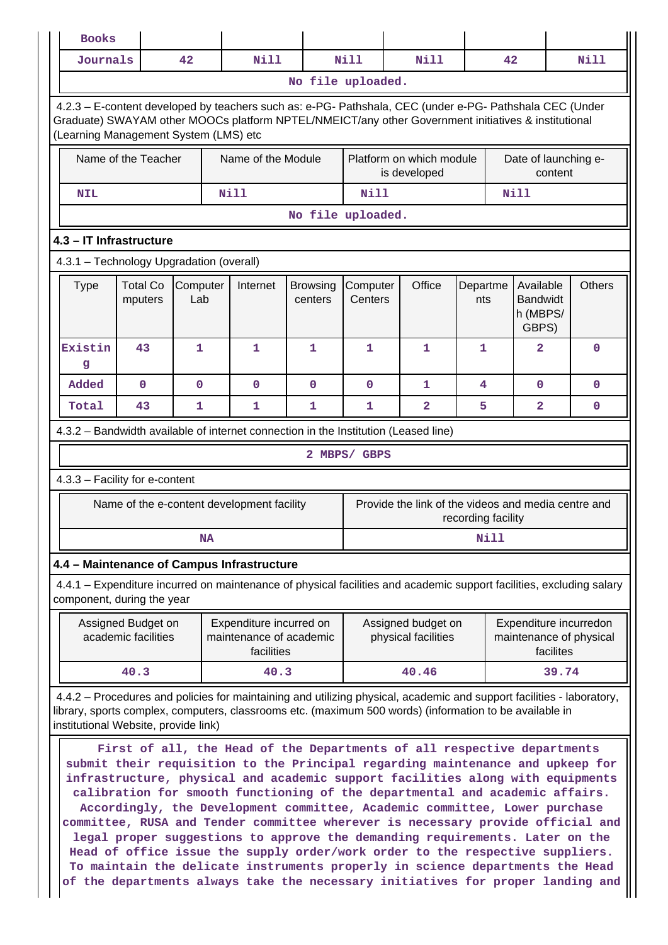| <b>Books</b>                                                                                                                                                                                                    |                                           |              |  |                                                                  |             |                   |                                                                                                                                                                                                                                                                                                                                                                                                                                                                                                                                                                                                                                                                                                                                                |               |      |                      |           |                                                   |
|-----------------------------------------------------------------------------------------------------------------------------------------------------------------------------------------------------------------|-------------------------------------------|--------------|--|------------------------------------------------------------------|-------------|-------------------|------------------------------------------------------------------------------------------------------------------------------------------------------------------------------------------------------------------------------------------------------------------------------------------------------------------------------------------------------------------------------------------------------------------------------------------------------------------------------------------------------------------------------------------------------------------------------------------------------------------------------------------------------------------------------------------------------------------------------------------------|---------------|------|----------------------|-----------|---------------------------------------------------|
| Journals                                                                                                                                                                                                        |                                           | 42           |  | Nill                                                             |             | <b>Nill</b>       | Nill                                                                                                                                                                                                                                                                                                                                                                                                                                                                                                                                                                                                                                                                                                                                           |               | 42   |                      |           | Nill                                              |
|                                                                                                                                                                                                                 |                                           |              |  |                                                                  |             | No file uploaded. |                                                                                                                                                                                                                                                                                                                                                                                                                                                                                                                                                                                                                                                                                                                                                |               |      |                      |           |                                                   |
| (Learning Management System (LMS) etc                                                                                                                                                                           |                                           |              |  |                                                                  |             |                   | 4.2.3 - E-content developed by teachers such as: e-PG- Pathshala, CEC (under e-PG- Pathshala CEC (Under<br>Graduate) SWAYAM other MOOCs platform NPTEL/NMEICT/any other Government initiatives & institutional                                                                                                                                                                                                                                                                                                                                                                                                                                                                                                                                 |               |      |                      |           |                                                   |
| Name of the Teacher<br>Name of the Module                                                                                                                                                                       |                                           |              |  |                                                                  |             |                   | Platform on which module<br>is developed                                                                                                                                                                                                                                                                                                                                                                                                                                                                                                                                                                                                                                                                                                       |               |      | Date of launching e- | content   |                                                   |
| <b>NIL</b>                                                                                                                                                                                                      |                                           |              |  | Nill                                                             |             |                   | <b>Nill</b><br><b>Nill</b>                                                                                                                                                                                                                                                                                                                                                                                                                                                                                                                                                                                                                                                                                                                     |               |      |                      |           |                                                   |
|                                                                                                                                                                                                                 |                                           |              |  |                                                                  |             | No file uploaded. |                                                                                                                                                                                                                                                                                                                                                                                                                                                                                                                                                                                                                                                                                                                                                |               |      |                      |           |                                                   |
| 4.3 - IT Infrastructure                                                                                                                                                                                         |                                           |              |  |                                                                  |             |                   |                                                                                                                                                                                                                                                                                                                                                                                                                                                                                                                                                                                                                                                                                                                                                |               |      |                      |           |                                                   |
| 4.3.1 - Technology Upgradation (overall)                                                                                                                                                                        |                                           |              |  |                                                                  |             |                   |                                                                                                                                                                                                                                                                                                                                                                                                                                                                                                                                                                                                                                                                                                                                                |               |      |                      |           |                                                   |
| Office<br><b>Total Co</b><br>Computer<br>Internet<br>Computer<br>Departme<br>Available<br><b>Type</b><br><b>Browsing</b><br><b>Bandwidt</b><br>Lab<br>Centers<br>mputers<br>centers<br>nts<br>h (MBPS/<br>GBPS) |                                           |              |  |                                                                  |             |                   |                                                                                                                                                                                                                                                                                                                                                                                                                                                                                                                                                                                                                                                                                                                                                | <b>Others</b> |      |                      |           |                                                   |
| Existin<br>g                                                                                                                                                                                                    | 43                                        | 1            |  | 1                                                                | 1           | 1                 | 1                                                                                                                                                                                                                                                                                                                                                                                                                                                                                                                                                                                                                                                                                                                                              | 1             |      | $\overline{a}$       |           | $\mathbf 0$                                       |
| Added                                                                                                                                                                                                           | $\mathbf 0$                               | $\mathbf{O}$ |  | $\mathbf 0$                                                      | $\mathbf 0$ | $\mathbf{O}$      | 1                                                                                                                                                                                                                                                                                                                                                                                                                                                                                                                                                                                                                                                                                                                                              | 4             |      | $\Omega$             |           | $\mathbf 0$                                       |
| Total                                                                                                                                                                                                           | 43                                        | 1            |  | 1                                                                | 1           | 1                 | $\mathbf{2}$                                                                                                                                                                                                                                                                                                                                                                                                                                                                                                                                                                                                                                                                                                                                   | 5             |      | $\overline{a}$       |           | $\mathbf 0$                                       |
| 4.3.2 - Bandwidth available of internet connection in the Institution (Leased line)                                                                                                                             |                                           |              |  |                                                                  |             |                   |                                                                                                                                                                                                                                                                                                                                                                                                                                                                                                                                                                                                                                                                                                                                                |               |      |                      |           |                                                   |
| 2 MBPS/ GBPS                                                                                                                                                                                                    |                                           |              |  |                                                                  |             |                   |                                                                                                                                                                                                                                                                                                                                                                                                                                                                                                                                                                                                                                                                                                                                                |               |      |                      |           |                                                   |
| 4.3.3 - Facility for e-content                                                                                                                                                                                  |                                           |              |  |                                                                  |             |                   |                                                                                                                                                                                                                                                                                                                                                                                                                                                                                                                                                                                                                                                                                                                                                |               |      |                      |           |                                                   |
| Provide the link of the videos and media centre and<br>Name of the e-content development facility<br>recording facility                                                                                         |                                           |              |  |                                                                  |             |                   |                                                                                                                                                                                                                                                                                                                                                                                                                                                                                                                                                                                                                                                                                                                                                |               |      |                      |           |                                                   |
|                                                                                                                                                                                                                 |                                           | <b>NA</b>    |  |                                                                  |             |                   |                                                                                                                                                                                                                                                                                                                                                                                                                                                                                                                                                                                                                                                                                                                                                |               | Nill |                      |           |                                                   |
| 4.4 - Maintenance of Campus Infrastructure                                                                                                                                                                      |                                           |              |  |                                                                  |             |                   |                                                                                                                                                                                                                                                                                                                                                                                                                                                                                                                                                                                                                                                                                                                                                |               |      |                      |           |                                                   |
| component, during the year                                                                                                                                                                                      |                                           |              |  |                                                                  |             |                   | 4.4.1 – Expenditure incurred on maintenance of physical facilities and academic support facilities, excluding salary                                                                                                                                                                                                                                                                                                                                                                                                                                                                                                                                                                                                                           |               |      |                      |           |                                                   |
|                                                                                                                                                                                                                 | Assigned Budget on<br>academic facilities |              |  | Expenditure incurred on<br>maintenance of academic<br>facilities |             |                   | Assigned budget on<br>physical facilities                                                                                                                                                                                                                                                                                                                                                                                                                                                                                                                                                                                                                                                                                                      |               |      |                      | facilites | Expenditure incurredon<br>maintenance of physical |
|                                                                                                                                                                                                                 | 40.3                                      |              |  | 40.3                                                             |             |                   | 40.46                                                                                                                                                                                                                                                                                                                                                                                                                                                                                                                                                                                                                                                                                                                                          |               |      |                      | 39.74     |                                                   |
| institutional Website, provide link)                                                                                                                                                                            |                                           |              |  |                                                                  |             |                   | 4.4.2 – Procedures and policies for maintaining and utilizing physical, academic and support facilities - laboratory,<br>library, sports complex, computers, classrooms etc. (maximum 500 words) (information to be available in                                                                                                                                                                                                                                                                                                                                                                                                                                                                                                               |               |      |                      |           |                                                   |
|                                                                                                                                                                                                                 |                                           |              |  |                                                                  |             |                   | First of all, the Head of the Departments of all respective departments<br>submit their requisition to the Principal regarding maintenance and upkeep for<br>infrastructure, physical and academic support facilities along with equipments<br>calibration for smooth functioning of the departmental and academic affairs.<br>Accordingly, the Development committee, Academic committee, Lower purchase<br>committee, RUSA and Tender committee wherever is necessary provide official and<br>legal proper suggestions to approve the demanding requirements. Later on the<br>Head of office issue the supply order/work order to the respective suppliers.<br>To maintain the delicate instruments properly in science departments the Head |               |      |                      |           |                                                   |

**of the departments always take the necessary initiatives for proper landing and**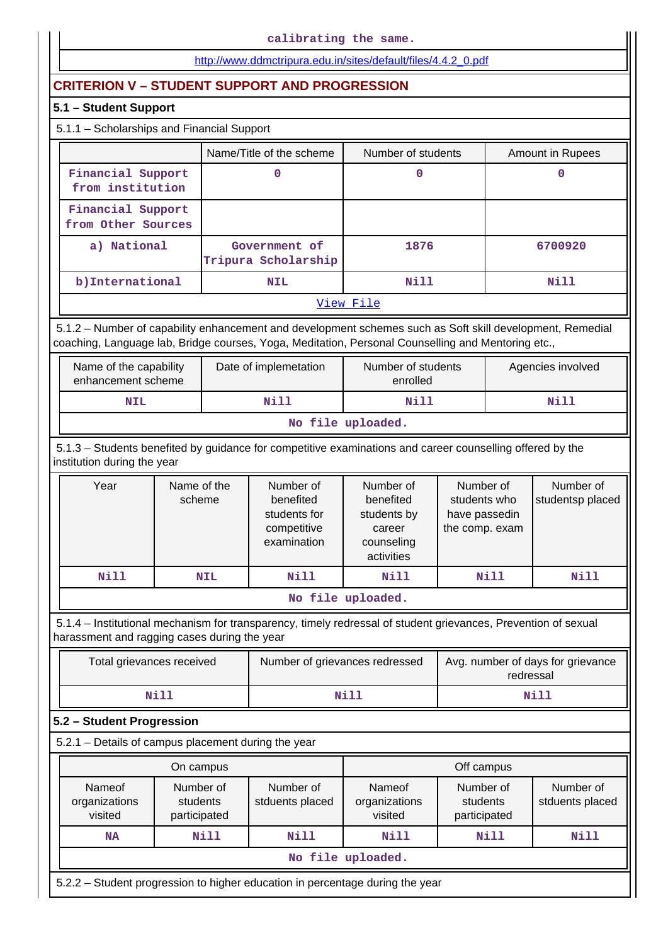|                                                                                                                                                                                                                 |                                       |             | calibrating the same.                                                |                                                                             |                                                              |                                   |  |  |
|-----------------------------------------------------------------------------------------------------------------------------------------------------------------------------------------------------------------|---------------------------------------|-------------|----------------------------------------------------------------------|-----------------------------------------------------------------------------|--------------------------------------------------------------|-----------------------------------|--|--|
|                                                                                                                                                                                                                 |                                       |             | http://www.ddmctripura.edu.in/sites/default/files/4.4.2 0.pdf        |                                                                             |                                                              |                                   |  |  |
| <b>CRITERION V - STUDENT SUPPORT AND PROGRESSION</b>                                                                                                                                                            |                                       |             |                                                                      |                                                                             |                                                              |                                   |  |  |
| 5.1 - Student Support                                                                                                                                                                                           |                                       |             |                                                                      |                                                                             |                                                              |                                   |  |  |
| 5.1.1 - Scholarships and Financial Support                                                                                                                                                                      |                                       |             |                                                                      |                                                                             |                                                              |                                   |  |  |
|                                                                                                                                                                                                                 |                                       |             | Name/Title of the scheme                                             | Number of students                                                          |                                                              | Amount in Rupees                  |  |  |
| Financial Support<br>from institution                                                                                                                                                                           |                                       |             | 0                                                                    | 0                                                                           |                                                              | 0                                 |  |  |
| Financial Support<br>from Other Sources                                                                                                                                                                         |                                       |             |                                                                      |                                                                             |                                                              |                                   |  |  |
| a) National                                                                                                                                                                                                     |                                       |             | Government of<br>Tripura Scholarship                                 | 1876                                                                        |                                                              | 6700920                           |  |  |
| b) International                                                                                                                                                                                                |                                       |             | <b>NIL</b>                                                           | Nill                                                                        |                                                              | <b>Nill</b>                       |  |  |
|                                                                                                                                                                                                                 |                                       |             |                                                                      | View File                                                                   |                                                              |                                   |  |  |
| 5.1.2 - Number of capability enhancement and development schemes such as Soft skill development, Remedial<br>coaching, Language lab, Bridge courses, Yoga, Meditation, Personal Counselling and Mentoring etc., |                                       |             |                                                                      |                                                                             |                                                              |                                   |  |  |
| Name of the capability<br>enhancement scheme                                                                                                                                                                    |                                       |             | Date of implemetation                                                | Number of students<br>enrolled                                              |                                                              | Agencies involved                 |  |  |
| <b>NIL</b>                                                                                                                                                                                                      |                                       |             | Nill                                                                 | Nill                                                                        |                                                              | <b>Nill</b>                       |  |  |
| No file uploaded.                                                                                                                                                                                               |                                       |             |                                                                      |                                                                             |                                                              |                                   |  |  |
| 5.1.3 - Students benefited by guidance for competitive examinations and career counselling offered by the<br>institution during the year                                                                        |                                       |             |                                                                      |                                                                             |                                                              |                                   |  |  |
| Year                                                                                                                                                                                                            | Name of the<br>scheme                 |             | Number of<br>benefited<br>students for<br>competitive<br>examination | Number of<br>benefited<br>students by<br>career<br>counseling<br>activities | Number of<br>students who<br>have passedin<br>the comp. exam | Number of<br>studentsp placed     |  |  |
| <b>Nill</b>                                                                                                                                                                                                     |                                       | <b>NIL</b>  | Nill                                                                 | <b>Nill</b>                                                                 | Nill                                                         | Nill                              |  |  |
|                                                                                                                                                                                                                 |                                       |             |                                                                      | No file uploaded.                                                           |                                                              |                                   |  |  |
| 5.1.4 - Institutional mechanism for transparency, timely redressal of student grievances, Prevention of sexual<br>harassment and ragging cases during the year                                                  |                                       |             |                                                                      |                                                                             |                                                              |                                   |  |  |
| Total grievances received                                                                                                                                                                                       |                                       |             | Number of grievances redressed                                       |                                                                             | redressal                                                    | Avg. number of days for grievance |  |  |
|                                                                                                                                                                                                                 | <b>Nill</b>                           |             |                                                                      | <b>Nill</b>                                                                 |                                                              | <b>Nill</b>                       |  |  |
| 5.2 - Student Progression                                                                                                                                                                                       |                                       |             |                                                                      |                                                                             |                                                              |                                   |  |  |
| 5.2.1 - Details of campus placement during the year                                                                                                                                                             |                                       |             |                                                                      |                                                                             |                                                              |                                   |  |  |
|                                                                                                                                                                                                                 | On campus                             |             |                                                                      |                                                                             | Off campus                                                   |                                   |  |  |
| Nameof<br>organizations<br>visited                                                                                                                                                                              | Number of<br>students<br>participated |             | Number of<br>stduents placed                                         | Nameof<br>organizations<br>visited                                          | Number of<br>students<br>participated                        | Number of<br>stduents placed      |  |  |
| <b>NA</b>                                                                                                                                                                                                       |                                       | <b>Nill</b> | <b>Nill</b>                                                          | Nill                                                                        | <b>Nill</b>                                                  | <b>Nill</b>                       |  |  |
|                                                                                                                                                                                                                 |                                       |             |                                                                      | No file uploaded.                                                           |                                                              |                                   |  |  |
| 5.2.2 - Student progression to higher education in percentage during the year                                                                                                                                   |                                       |             |                                                                      |                                                                             |                                                              |                                   |  |  |
|                                                                                                                                                                                                                 |                                       |             |                                                                      |                                                                             |                                                              |                                   |  |  |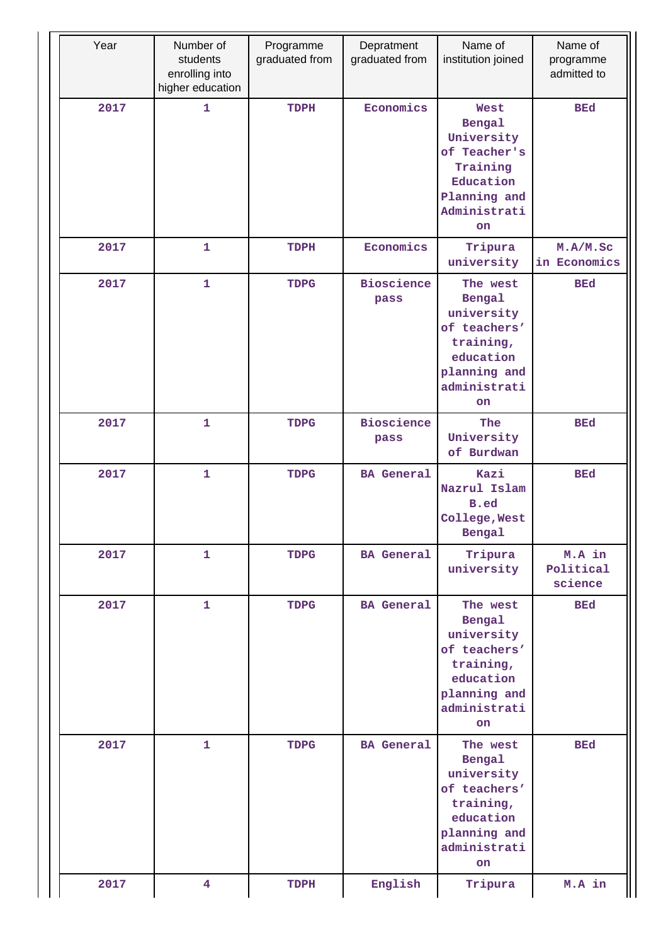| Year | Number of<br>students<br>enrolling into<br>higher education | Programme<br>graduated from | Depratment<br>graduated from | Name of<br>institution joined                                                                                      | Name of<br>programme<br>admitted to |
|------|-------------------------------------------------------------|-----------------------------|------------------------------|--------------------------------------------------------------------------------------------------------------------|-------------------------------------|
| 2017 | $\mathbf{1}$                                                | TDPH                        | Economics                    | West<br>Bengal<br>University<br>of Teacher's<br>Training<br>Education<br>Planning and<br>Administrati<br><b>on</b> | <b>BEd</b>                          |
| 2017 | $\mathbf{1}$                                                | TDPH                        | Economics                    | Tripura<br>university                                                                                              | M.A/M.Sc<br>in Economics            |
| 2017 | $\mathbf{1}$                                                | <b>TDPG</b>                 | <b>Bioscience</b><br>pass    | The west<br>Bengal<br>university<br>of teachers'<br>training,<br>education<br>planning and<br>administrati<br>on   | <b>BEd</b>                          |
| 2017 | $\mathbf{1}$                                                | <b>TDPG</b>                 | <b>Bioscience</b><br>pass    | The<br>University<br>of Burdwan                                                                                    | <b>BEd</b>                          |
| 2017 | $\mathbf{1}$                                                | <b>TDPG</b>                 | <b>BA</b> General            | Kazi<br>Nazrul Islam<br>B.ed<br>College, West<br>Bengal                                                            | <b>BEd</b>                          |
| 2017 | $\mathbf{1}$                                                | <b>TDPG</b>                 | <b>BA</b> General            | Tripura<br>university                                                                                              | M.A in<br>Political<br>science      |
| 2017 | $\mathbf{1}$                                                | <b>TDPG</b>                 | <b>BA</b> General            | The west<br>Bengal<br>university<br>of teachers'<br>training,<br>education<br>planning and<br>administrati<br>on   | <b>BEd</b>                          |
| 2017 | $\mathbf{1}$                                                | <b>TDPG</b>                 | <b>BA</b> General            | The west<br>Bengal<br>university<br>of teachers'<br>training,<br>education<br>planning and<br>administrati<br>on   | <b>BEd</b>                          |
| 2017 | $\overline{\mathbf{4}}$                                     | TDPH                        | English                      | Tripura                                                                                                            | M.A in                              |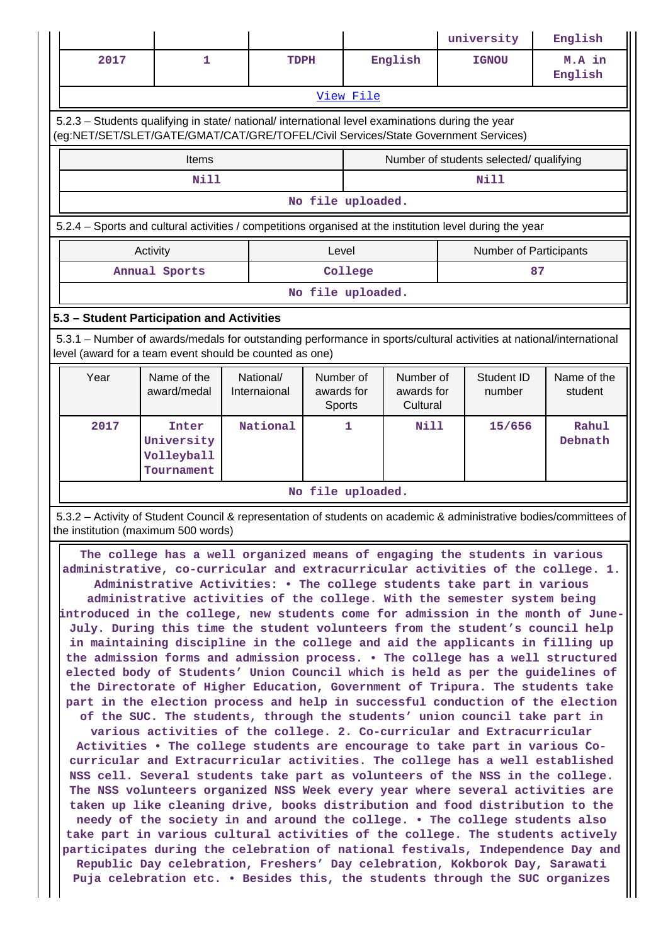|                                                                                                                                                                                |                                                                                                  |                           |                                   |                                     | university                                                                                                                                                                                                                                                                                                                                                                                                                                                                                                                                                                                                                                                                                                                                                                                                                                                                                                                                                                                                                                                                                                                                                                                                                                                                                                                                                                                                                                                                                                                                                                                                                                                                                                                                       | English                |  |  |
|--------------------------------------------------------------------------------------------------------------------------------------------------------------------------------|--------------------------------------------------------------------------------------------------|---------------------------|-----------------------------------|-------------------------------------|--------------------------------------------------------------------------------------------------------------------------------------------------------------------------------------------------------------------------------------------------------------------------------------------------------------------------------------------------------------------------------------------------------------------------------------------------------------------------------------------------------------------------------------------------------------------------------------------------------------------------------------------------------------------------------------------------------------------------------------------------------------------------------------------------------------------------------------------------------------------------------------------------------------------------------------------------------------------------------------------------------------------------------------------------------------------------------------------------------------------------------------------------------------------------------------------------------------------------------------------------------------------------------------------------------------------------------------------------------------------------------------------------------------------------------------------------------------------------------------------------------------------------------------------------------------------------------------------------------------------------------------------------------------------------------------------------------------------------------------------------|------------------------|--|--|
| 2017                                                                                                                                                                           | 1                                                                                                | <b>TDPH</b>               |                                   | English                             | <b>IGNOU</b>                                                                                                                                                                                                                                                                                                                                                                                                                                                                                                                                                                                                                                                                                                                                                                                                                                                                                                                                                                                                                                                                                                                                                                                                                                                                                                                                                                                                                                                                                                                                                                                                                                                                                                                                     | M.A in<br>English      |  |  |
|                                                                                                                                                                                |                                                                                                  |                           | View File                         |                                     |                                                                                                                                                                                                                                                                                                                                                                                                                                                                                                                                                                                                                                                                                                                                                                                                                                                                                                                                                                                                                                                                                                                                                                                                                                                                                                                                                                                                                                                                                                                                                                                                                                                                                                                                                  |                        |  |  |
|                                                                                                                                                                                | 5.2.3 - Students qualifying in state/ national/ international level examinations during the year |                           |                                   |                                     | (eg:NET/SET/SLET/GATE/GMAT/CAT/GRE/TOFEL/Civil Services/State Government Services)                                                                                                                                                                                                                                                                                                                                                                                                                                                                                                                                                                                                                                                                                                                                                                                                                                                                                                                                                                                                                                                                                                                                                                                                                                                                                                                                                                                                                                                                                                                                                                                                                                                               |                        |  |  |
|                                                                                                                                                                                | Items                                                                                            |                           |                                   |                                     | Number of students selected/ qualifying                                                                                                                                                                                                                                                                                                                                                                                                                                                                                                                                                                                                                                                                                                                                                                                                                                                                                                                                                                                                                                                                                                                                                                                                                                                                                                                                                                                                                                                                                                                                                                                                                                                                                                          |                        |  |  |
|                                                                                                                                                                                | <b>Nill</b>                                                                                      |                           |                                   |                                     | <b>Nill</b>                                                                                                                                                                                                                                                                                                                                                                                                                                                                                                                                                                                                                                                                                                                                                                                                                                                                                                                                                                                                                                                                                                                                                                                                                                                                                                                                                                                                                                                                                                                                                                                                                                                                                                                                      |                        |  |  |
|                                                                                                                                                                                |                                                                                                  |                           | No file uploaded.                 |                                     |                                                                                                                                                                                                                                                                                                                                                                                                                                                                                                                                                                                                                                                                                                                                                                                                                                                                                                                                                                                                                                                                                                                                                                                                                                                                                                                                                                                                                                                                                                                                                                                                                                                                                                                                                  |                        |  |  |
| 5.2.4 - Sports and cultural activities / competitions organised at the institution level during the year                                                                       |                                                                                                  |                           |                                   |                                     |                                                                                                                                                                                                                                                                                                                                                                                                                                                                                                                                                                                                                                                                                                                                                                                                                                                                                                                                                                                                                                                                                                                                                                                                                                                                                                                                                                                                                                                                                                                                                                                                                                                                                                                                                  |                        |  |  |
| Activity<br>Level<br>Number of Participants                                                                                                                                    |                                                                                                  |                           |                                   |                                     |                                                                                                                                                                                                                                                                                                                                                                                                                                                                                                                                                                                                                                                                                                                                                                                                                                                                                                                                                                                                                                                                                                                                                                                                                                                                                                                                                                                                                                                                                                                                                                                                                                                                                                                                                  |                        |  |  |
| Annual Sports<br>College<br>87                                                                                                                                                 |                                                                                                  |                           |                                   |                                     |                                                                                                                                                                                                                                                                                                                                                                                                                                                                                                                                                                                                                                                                                                                                                                                                                                                                                                                                                                                                                                                                                                                                                                                                                                                                                                                                                                                                                                                                                                                                                                                                                                                                                                                                                  |                        |  |  |
| No file uploaded.                                                                                                                                                              |                                                                                                  |                           |                                   |                                     |                                                                                                                                                                                                                                                                                                                                                                                                                                                                                                                                                                                                                                                                                                                                                                                                                                                                                                                                                                                                                                                                                                                                                                                                                                                                                                                                                                                                                                                                                                                                                                                                                                                                                                                                                  |                        |  |  |
| 5.3 - Student Participation and Activities                                                                                                                                     |                                                                                                  |                           |                                   |                                     |                                                                                                                                                                                                                                                                                                                                                                                                                                                                                                                                                                                                                                                                                                                                                                                                                                                                                                                                                                                                                                                                                                                                                                                                                                                                                                                                                                                                                                                                                                                                                                                                                                                                                                                                                  |                        |  |  |
| 5.3.1 - Number of awards/medals for outstanding performance in sports/cultural activities at national/international<br>level (award for a team event should be counted as one) |                                                                                                  |                           |                                   |                                     |                                                                                                                                                                                                                                                                                                                                                                                                                                                                                                                                                                                                                                                                                                                                                                                                                                                                                                                                                                                                                                                                                                                                                                                                                                                                                                                                                                                                                                                                                                                                                                                                                                                                                                                                                  |                        |  |  |
| Year                                                                                                                                                                           | Name of the<br>award/medal                                                                       | National/<br>Internaional | Number of<br>awards for<br>Sports | Number of<br>awards for<br>Cultural | Student ID<br>number                                                                                                                                                                                                                                                                                                                                                                                                                                                                                                                                                                                                                                                                                                                                                                                                                                                                                                                                                                                                                                                                                                                                                                                                                                                                                                                                                                                                                                                                                                                                                                                                                                                                                                                             | Name of the<br>student |  |  |
| 2017                                                                                                                                                                           | Inter<br>University<br>Volleyball<br>Tournament                                                  | National                  | 1                                 | <b>Nill</b>                         | 15/656                                                                                                                                                                                                                                                                                                                                                                                                                                                                                                                                                                                                                                                                                                                                                                                                                                                                                                                                                                                                                                                                                                                                                                                                                                                                                                                                                                                                                                                                                                                                                                                                                                                                                                                                           | Rahul<br>Debnath       |  |  |
| No file uploaded.                                                                                                                                                              |                                                                                                  |                           |                                   |                                     |                                                                                                                                                                                                                                                                                                                                                                                                                                                                                                                                                                                                                                                                                                                                                                                                                                                                                                                                                                                                                                                                                                                                                                                                                                                                                                                                                                                                                                                                                                                                                                                                                                                                                                                                                  |                        |  |  |
|                                                                                                                                                                                | the institution (maximum 500 words)                                                              |                           |                                   |                                     | 5.3.2 – Activity of Student Council & representation of students on academic & administrative bodies/committees of                                                                                                                                                                                                                                                                                                                                                                                                                                                                                                                                                                                                                                                                                                                                                                                                                                                                                                                                                                                                                                                                                                                                                                                                                                                                                                                                                                                                                                                                                                                                                                                                                               |                        |  |  |
|                                                                                                                                                                                | Republic Day celebration, Freshers' Day celebration, Kokborok Day, Sarawati                      |                           |                                   |                                     | The college has a well organized means of engaging the students in various<br>administrative, co-curricular and extracurricular activities of the college. 1.<br>Administrative Activities: • The college students take part in various<br>administrative activities of the college. With the semester system being<br>introduced in the college, new students come for admission in the month of June-<br>July. During this time the student volunteers from the student's council help<br>in maintaining discipline in the college and aid the applicants in filling up<br>the admission forms and admission process. . The college has a well structured<br>elected body of Students' Union Council which is held as per the guidelines of<br>the Directorate of Higher Education, Government of Tripura. The students take<br>part in the election process and help in successful conduction of the election<br>of the SUC. The students, through the students' union council take part in<br>various activities of the college. 2. Co-curricular and Extracurricular<br>Activities . The college students are encourage to take part in various Co-<br>curricular and Extracurricular activities. The college has a well established<br>NSS cell. Several students take part as volunteers of the NSS in the college.<br>The NSS volunteers organized NSS Week every year where several activities are<br>taken up like cleaning drive, books distribution and food distribution to the<br>needy of the society in and around the college. • The college students also<br>take part in various cultural activities of the college. The students actively<br>participates during the celebration of national festivals, Independence Day and |                        |  |  |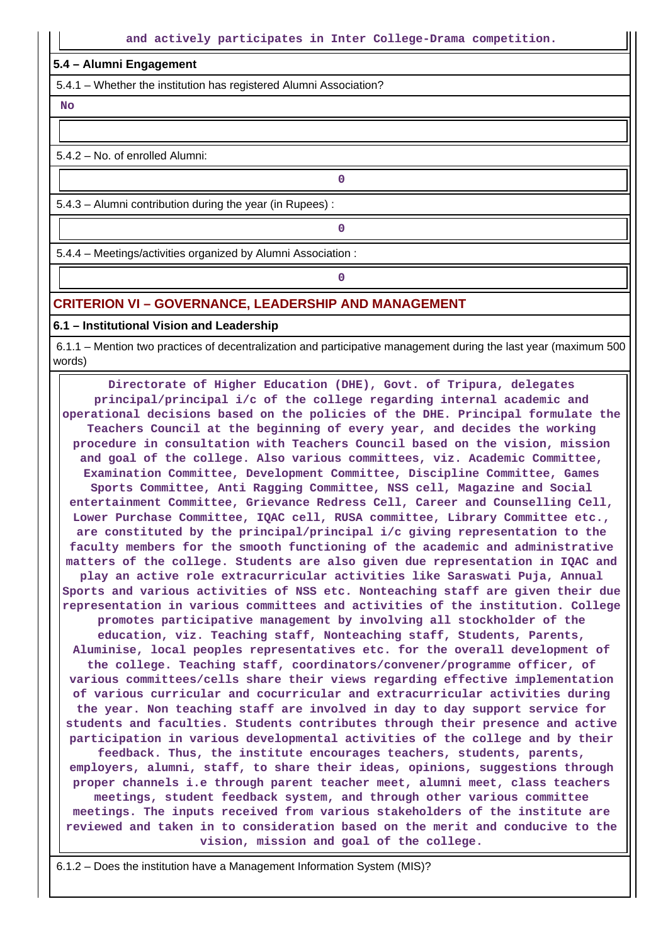#### **5.4 – Alumni Engagement**

5.4.1 – Whether the institution has registered Alumni Association?

 **No**

5.4.2 – No. of enrolled Alumni:

5.4.3 – Alumni contribution during the year (in Rupees) :

**0**

**0**

5.4.4 – Meetings/activities organized by Alumni Association :

**0**

### **CRITERION VI – GOVERNANCE, LEADERSHIP AND MANAGEMENT**

#### **6.1 – Institutional Vision and Leadership**

 6.1.1 – Mention two practices of decentralization and participative management during the last year (maximum 500 words)

 **Directorate of Higher Education (DHE), Govt. of Tripura, delegates principal/principal i/c of the college regarding internal academic and operational decisions based on the policies of the DHE. Principal formulate the Teachers Council at the beginning of every year, and decides the working procedure in consultation with Teachers Council based on the vision, mission and goal of the college. Also various committees, viz. Academic Committee, Examination Committee, Development Committee, Discipline Committee, Games Sports Committee, Anti Ragging Committee, NSS cell, Magazine and Social entertainment Committee, Grievance Redress Cell, Career and Counselling Cell, Lower Purchase Committee, IQAC cell, RUSA committee, Library Committee etc., are constituted by the principal/principal i/c giving representation to the faculty members for the smooth functioning of the academic and administrative matters of the college. Students are also given due representation in IQAC and play an active role extracurricular activities like Saraswati Puja, Annual Sports and various activities of NSS etc. Nonteaching staff are given their due representation in various committees and activities of the institution. College promotes participative management by involving all stockholder of the education, viz. Teaching staff, Nonteaching staff, Students, Parents, Aluminise, local peoples representatives etc. for the overall development of the college. Teaching staff, coordinators/convener/programme officer, of various committees/cells share their views regarding effective implementation of various curricular and cocurricular and extracurricular activities during the year. Non teaching staff are involved in day to day support service for students and faculties. Students contributes through their presence and active participation in various developmental activities of the college and by their feedback. Thus, the institute encourages teachers, students, parents, employers, alumni, staff, to share their ideas, opinions, suggestions through proper channels i.e through parent teacher meet, alumni meet, class teachers meetings, student feedback system, and through other various committee meetings. The inputs received from various stakeholders of the institute are reviewed and taken in to consideration based on the merit and conducive to the vision, mission and goal of the college.**

6.1.2 – Does the institution have a Management Information System (MIS)?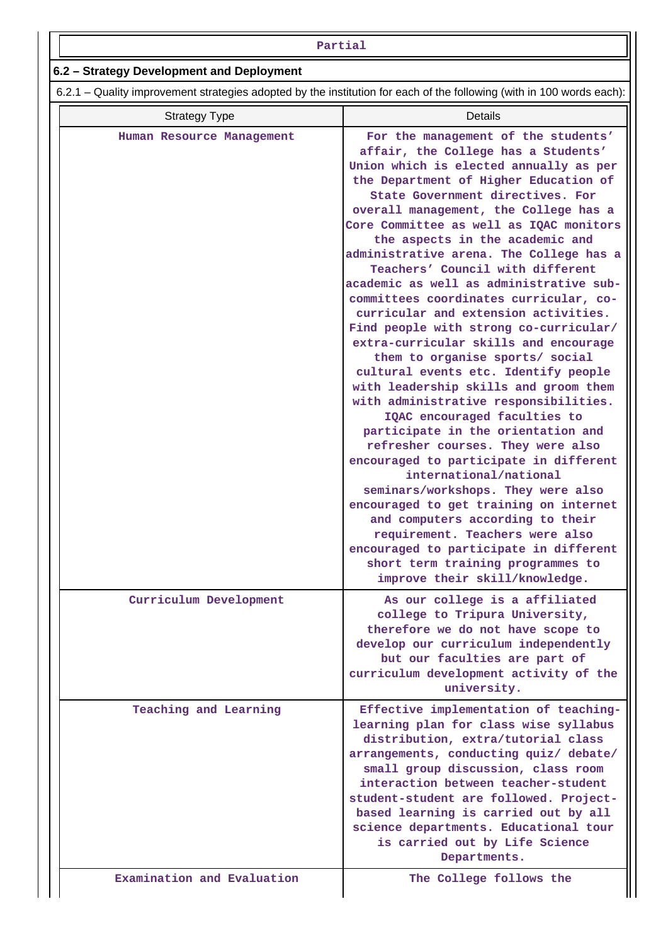| Partial                                                                                                               |                                                                                                                                                                                                                                                                                                                                                                                                                                                                                                                                                                                                                                                                                                                                                                                                                                                                                                                                                                                                                                                                                                                                                                                                                                             |
|-----------------------------------------------------------------------------------------------------------------------|---------------------------------------------------------------------------------------------------------------------------------------------------------------------------------------------------------------------------------------------------------------------------------------------------------------------------------------------------------------------------------------------------------------------------------------------------------------------------------------------------------------------------------------------------------------------------------------------------------------------------------------------------------------------------------------------------------------------------------------------------------------------------------------------------------------------------------------------------------------------------------------------------------------------------------------------------------------------------------------------------------------------------------------------------------------------------------------------------------------------------------------------------------------------------------------------------------------------------------------------|
| 6.2 - Strategy Development and Deployment                                                                             |                                                                                                                                                                                                                                                                                                                                                                                                                                                                                                                                                                                                                                                                                                                                                                                                                                                                                                                                                                                                                                                                                                                                                                                                                                             |
| 6.2.1 – Quality improvement strategies adopted by the institution for each of the following (with in 100 words each): |                                                                                                                                                                                                                                                                                                                                                                                                                                                                                                                                                                                                                                                                                                                                                                                                                                                                                                                                                                                                                                                                                                                                                                                                                                             |
| <b>Strategy Type</b>                                                                                                  | <b>Details</b>                                                                                                                                                                                                                                                                                                                                                                                                                                                                                                                                                                                                                                                                                                                                                                                                                                                                                                                                                                                                                                                                                                                                                                                                                              |
| Human Resource Management                                                                                             | For the management of the students'<br>affair, the College has a Students'<br>Union which is elected annually as per<br>the Department of Higher Education of<br>State Government directives. For<br>overall management, the College has a<br>Core Committee as well as IQAC monitors<br>the aspects in the academic and<br>administrative arena. The College has a<br>Teachers' Council with different<br>academic as well as administrative sub-<br>committees coordinates curricular, co-<br>curricular and extension activities.<br>Find people with strong co-curricular/<br>extra-curricular skills and encourage<br>them to organise sports/ social<br>cultural events etc. Identify people<br>with leadership skills and groom them<br>with administrative responsibilities.<br>IQAC encouraged faculties to<br>participate in the orientation and<br>refresher courses. They were also<br>encouraged to participate in different<br>international/national<br>seminars/workshops. They were also<br>encouraged to get training on internet<br>and computers according to their<br>requirement. Teachers were also<br>encouraged to participate in different<br>short term training programmes to<br>improve their skill/knowledge. |
| Curriculum Development                                                                                                | As our college is a affiliated<br>college to Tripura University,<br>therefore we do not have scope to<br>develop our curriculum independently<br>but our faculties are part of<br>curriculum development activity of the<br>university.                                                                                                                                                                                                                                                                                                                                                                                                                                                                                                                                                                                                                                                                                                                                                                                                                                                                                                                                                                                                     |
| Teaching and Learning<br>Examination and Evaluation                                                                   | Effective implementation of teaching-<br>learning plan for class wise syllabus<br>distribution, extra/tutorial class<br>arrangements, conducting quiz/ debate/<br>small group discussion, class room<br>interaction between teacher-student<br>student-student are followed. Project-<br>based learning is carried out by all<br>science departments. Educational tour<br>is carried out by Life Science<br>Departments.<br>The College follows the                                                                                                                                                                                                                                                                                                                                                                                                                                                                                                                                                                                                                                                                                                                                                                                         |
|                                                                                                                       |                                                                                                                                                                                                                                                                                                                                                                                                                                                                                                                                                                                                                                                                                                                                                                                                                                                                                                                                                                                                                                                                                                                                                                                                                                             |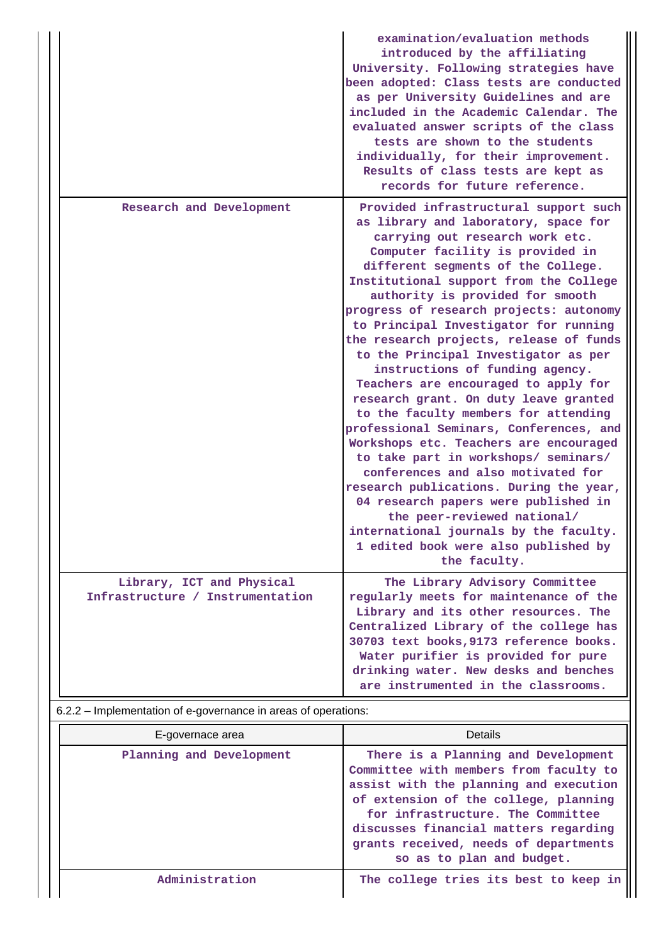|                                                               | examination/evaluation methods<br>introduced by the affiliating<br>University. Following strategies have<br>been adopted: Class tests are conducted<br>as per University Guidelines and are<br>included in the Academic Calendar. The<br>evaluated answer scripts of the class<br>tests are shown to the students<br>individually, for their improvement.<br>Results of class tests are kept as<br>records for future reference.                                                                                                                                                                                                                                                                                                                                                                                                                                                                                                                                                                   |
|---------------------------------------------------------------|----------------------------------------------------------------------------------------------------------------------------------------------------------------------------------------------------------------------------------------------------------------------------------------------------------------------------------------------------------------------------------------------------------------------------------------------------------------------------------------------------------------------------------------------------------------------------------------------------------------------------------------------------------------------------------------------------------------------------------------------------------------------------------------------------------------------------------------------------------------------------------------------------------------------------------------------------------------------------------------------------|
| Research and Development                                      | Provided infrastructural support such<br>as library and laboratory, space for<br>carrying out research work etc.<br>Computer facility is provided in<br>different segments of the College.<br>Institutional support from the College<br>authority is provided for smooth<br>progress of research projects: autonomy<br>to Principal Investigator for running<br>the research projects, release of funds<br>to the Principal Investigator as per<br>instructions of funding agency.<br>Teachers are encouraged to apply for<br>research grant. On duty leave granted<br>to the faculty members for attending<br>professional Seminars, Conferences, and<br>Workshops etc. Teachers are encouraged<br>to take part in workshops/ seminars/<br>conferences and also motivated for<br>research publications. During the year,<br>04 research papers were published in<br>the peer-reviewed national/<br>international journals by the faculty.<br>1 edited book were also published by<br>the faculty. |
| Library, ICT and Physical<br>Infrastructure / Instrumentation | The Library Advisory Committee<br>regularly meets for maintenance of the<br>Library and its other resources. The<br>Centralized Library of the college has<br>30703 text books, 9173 reference books.<br>Water purifier is provided for pure<br>drinking water. New desks and benches<br>are instrumented in the classrooms.                                                                                                                                                                                                                                                                                                                                                                                                                                                                                                                                                                                                                                                                       |

6.2.2 – Implementation of e-governance in areas of operations:

| E-governace area         | Details                                                                                                                                                                                                                                                                                                              |
|--------------------------|----------------------------------------------------------------------------------------------------------------------------------------------------------------------------------------------------------------------------------------------------------------------------------------------------------------------|
| Planning and Development | There is a Planning and Development<br>Committee with members from faculty to<br>assist with the planning and execution<br>of extension of the college, planning<br>for infrastructure. The Committee<br>discusses financial matters regarding<br>grants received, needs of departments<br>so as to plan and budget. |
| Administration           | The college tries its best to keep in                                                                                                                                                                                                                                                                                |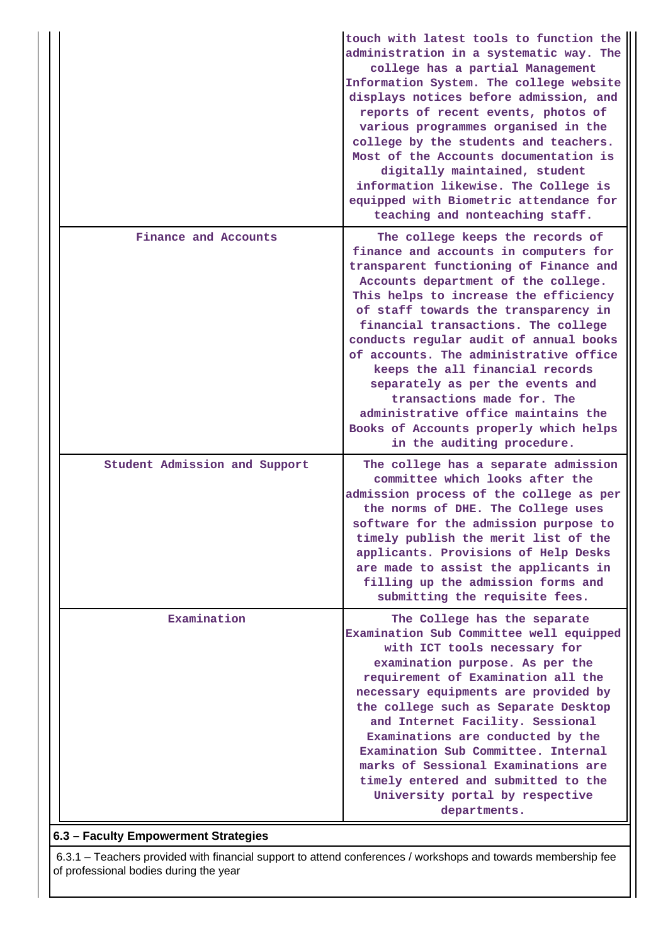|  |                               | touch with latest tools to function the<br>administration in a systematic way. The<br>college has a partial Management<br>Information System. The college website<br>displays notices before admission, and<br>reports of recent events, photos of<br>various programmes organised in the<br>college by the students and teachers.<br>Most of the Accounts documentation is<br>digitally maintained, student<br>information likewise. The College is<br>equipped with Biometric attendance for<br>teaching and nonteaching staff.                                                          |
|--|-------------------------------|--------------------------------------------------------------------------------------------------------------------------------------------------------------------------------------------------------------------------------------------------------------------------------------------------------------------------------------------------------------------------------------------------------------------------------------------------------------------------------------------------------------------------------------------------------------------------------------------|
|  | Finance and Accounts          | The college keeps the records of<br>finance and accounts in computers for<br>transparent functioning of Finance and<br>Accounts department of the college.<br>This helps to increase the efficiency<br>of staff towards the transparency in<br>financial transactions. The college<br>conducts regular audit of annual books<br>of accounts. The administrative office<br>keeps the all financial records<br>separately as per the events and<br>transactions made for. The<br>administrative office maintains the<br>Books of Accounts properly which helps<br>in the auditing procedure. |
|  | Student Admission and Support | The college has a separate admission<br>committee which looks after the<br>admission process of the college as per<br>the norms of DHE. The College uses<br>software for the admission purpose to<br>timely publish the merit list of the<br>applicants. Provisions of Help Desks<br>are made to assist the applicants in<br>filling up the admission forms and<br>submitting the requisite fees.                                                                                                                                                                                          |
|  | Examination                   | The College has the separate<br>Examination Sub Committee well equipped<br>with ICT tools necessary for<br>examination purpose. As per the<br>requirement of Examination all the<br>necessary equipments are provided by<br>the college such as Separate Desktop<br>and Internet Facility. Sessional<br>Examinations are conducted by the<br>Examination Sub Committee. Internal<br>marks of Sessional Examinations are<br>timely entered and submitted to the<br>University portal by respective<br>departments.                                                                          |

## **6.3 – Faculty Empowerment Strategies**

 6.3.1 – Teachers provided with financial support to attend conferences / workshops and towards membership fee of professional bodies during the year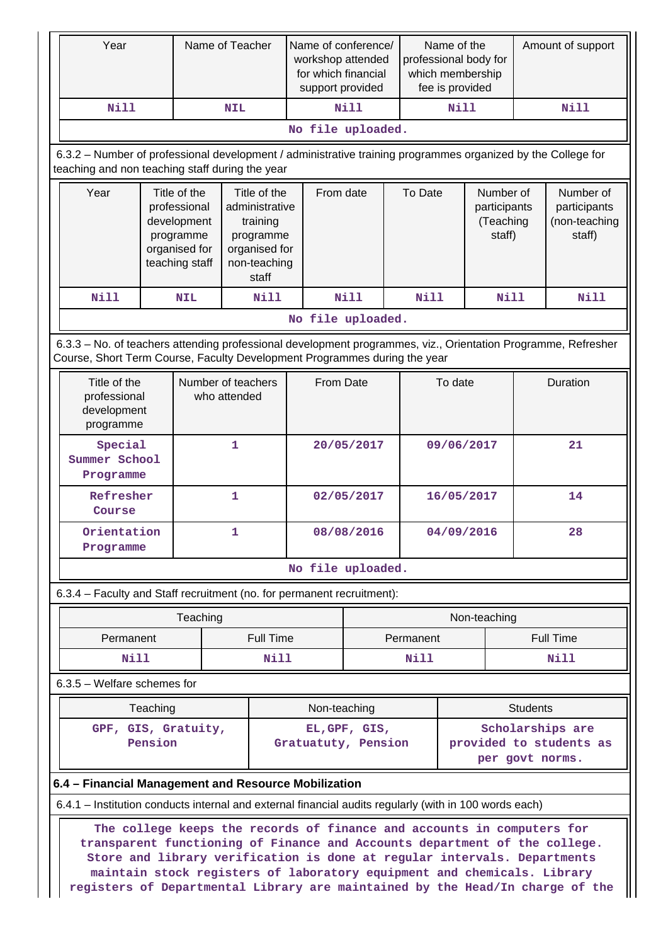| Year                                                                                                                                                                                                                                                                                                                                                                                         |                                                                                             |            | Name of Teacher                                                                                   |                     | Name of conference/<br>workshop attended<br>for which financial<br>support provided |                   |                                            | Name of the<br>professional body for<br>which membership<br>fee is provided |                  | Amount of support                                    |                  |  |
|----------------------------------------------------------------------------------------------------------------------------------------------------------------------------------------------------------------------------------------------------------------------------------------------------------------------------------------------------------------------------------------------|---------------------------------------------------------------------------------------------|------------|---------------------------------------------------------------------------------------------------|---------------------|-------------------------------------------------------------------------------------|-------------------|--------------------------------------------|-----------------------------------------------------------------------------|------------------|------------------------------------------------------|------------------|--|
| <b>Nill</b>                                                                                                                                                                                                                                                                                                                                                                                  | <b>NIL</b>                                                                                  |            |                                                                                                   | Nill                |                                                                                     |                   | <b>Nill</b>                                |                                                                             | <b>Nill</b>      |                                                      |                  |  |
|                                                                                                                                                                                                                                                                                                                                                                                              |                                                                                             |            |                                                                                                   |                     |                                                                                     | No file uploaded. |                                            |                                                                             |                  |                                                      |                  |  |
| 6.3.2 - Number of professional development / administrative training programmes organized by the College for<br>teaching and non teaching staff during the year                                                                                                                                                                                                                              |                                                                                             |            |                                                                                                   |                     |                                                                                     |                   |                                            |                                                                             |                  |                                                      |                  |  |
| Year                                                                                                                                                                                                                                                                                                                                                                                         | Title of the<br>professional<br>development<br>programme<br>organised for<br>teaching staff |            | Title of the<br>administrative<br>training<br>programme<br>organised for<br>non-teaching<br>staff |                     |                                                                                     | From date         |                                            | To Date<br>Number of<br>participants<br>(Teaching<br>staff)                 |                  | Number of<br>participants<br>(non-teaching<br>staff) |                  |  |
| Nill                                                                                                                                                                                                                                                                                                                                                                                         |                                                                                             | <b>NIL</b> |                                                                                                   | <b>Nill</b>         |                                                                                     | <b>Nill</b>       | <b>Nill</b>                                |                                                                             | Nill             |                                                      | <b>Nill</b>      |  |
|                                                                                                                                                                                                                                                                                                                                                                                              |                                                                                             |            |                                                                                                   |                     | No file uploaded.                                                                   |                   |                                            |                                                                             |                  |                                                      |                  |  |
| 6.3.3 - No. of teachers attending professional development programmes, viz., Orientation Programme, Refresher<br>Course, Short Term Course, Faculty Development Programmes during the year                                                                                                                                                                                                   |                                                                                             |            |                                                                                                   |                     |                                                                                     |                   |                                            |                                                                             |                  |                                                      |                  |  |
|                                                                                                                                                                                                                                                                                                                                                                                              | Title of the<br>professional<br>development<br>programme                                    |            | Number of teachers<br>who attended                                                                |                     | From Date                                                                           |                   |                                            | To date                                                                     |                  | Duration                                             |                  |  |
|                                                                                                                                                                                                                                                                                                                                                                                              | Special<br>Summer School<br>Programme<br>Refresher<br>Course                                |            | 1                                                                                                 |                     | 20/05/2017                                                                          |                   |                                            | 09/06/2017                                                                  |                  | 21                                                   |                  |  |
|                                                                                                                                                                                                                                                                                                                                                                                              |                                                                                             |            | 1                                                                                                 |                     | 02/05/2017                                                                          |                   |                                            | 16/05/2017                                                                  |                  | 14                                                   |                  |  |
|                                                                                                                                                                                                                                                                                                                                                                                              | Orientation<br>1<br>Programme                                                               |            |                                                                                                   |                     | 08/08/2016                                                                          |                   |                                            |                                                                             | 04/09/2016<br>28 |                                                      |                  |  |
|                                                                                                                                                                                                                                                                                                                                                                                              |                                                                                             |            |                                                                                                   |                     | No file uploaded.                                                                   |                   |                                            |                                                                             |                  |                                                      |                  |  |
| 6.3.4 – Faculty and Staff recruitment (no. for permanent recruitment):                                                                                                                                                                                                                                                                                                                       |                                                                                             |            |                                                                                                   |                     |                                                                                     |                   |                                            |                                                                             |                  |                                                      |                  |  |
|                                                                                                                                                                                                                                                                                                                                                                                              |                                                                                             | Teaching   |                                                                                                   |                     |                                                                                     |                   |                                            |                                                                             | Non-teaching     |                                                      |                  |  |
|                                                                                                                                                                                                                                                                                                                                                                                              | Permanent                                                                                   |            |                                                                                                   | <b>Full Time</b>    |                                                                                     |                   |                                            | Permanent                                                                   |                  |                                                      | <b>Full Time</b> |  |
|                                                                                                                                                                                                                                                                                                                                                                                              | <b>Nill</b>                                                                                 |            | <b>Nill</b>                                                                                       |                     | Nill                                                                                |                   |                                            | Nill                                                                        |                  |                                                      |                  |  |
| 6.3.5 - Welfare schemes for                                                                                                                                                                                                                                                                                                                                                                  |                                                                                             |            |                                                                                                   |                     |                                                                                     |                   |                                            |                                                                             |                  |                                                      |                  |  |
|                                                                                                                                                                                                                                                                                                                                                                                              | Teaching                                                                                    |            |                                                                                                   |                     |                                                                                     | Non-teaching      |                                            |                                                                             | <b>Students</b>  |                                                      |                  |  |
|                                                                                                                                                                                                                                                                                                                                                                                              | GPF, GIS, Gratuity,                                                                         |            |                                                                                                   | EL, GPF, GIS,       |                                                                                     |                   |                                            | Scholarships are                                                            |                  |                                                      |                  |  |
|                                                                                                                                                                                                                                                                                                                                                                                              | Pension                                                                                     |            |                                                                                                   | Gratuatuty, Pension |                                                                                     |                   | provided to students as<br>per govt norms. |                                                                             |                  |                                                      |                  |  |
| 6.4 - Financial Management and Resource Mobilization                                                                                                                                                                                                                                                                                                                                         |                                                                                             |            |                                                                                                   |                     |                                                                                     |                   |                                            |                                                                             |                  |                                                      |                  |  |
| 6.4.1 – Institution conducts internal and external financial audits regularly (with in 100 words each)                                                                                                                                                                                                                                                                                       |                                                                                             |            |                                                                                                   |                     |                                                                                     |                   |                                            |                                                                             |                  |                                                      |                  |  |
| The college keeps the records of finance and accounts in computers for<br>transparent functioning of Finance and Accounts department of the college.<br>Store and library verification is done at regular intervals. Departments<br>maintain stock registers of laboratory equipment and chemicals. Library<br>registers of Departmental Library are maintained by the Head/In charge of the |                                                                                             |            |                                                                                                   |                     |                                                                                     |                   |                                            |                                                                             |                  |                                                      |                  |  |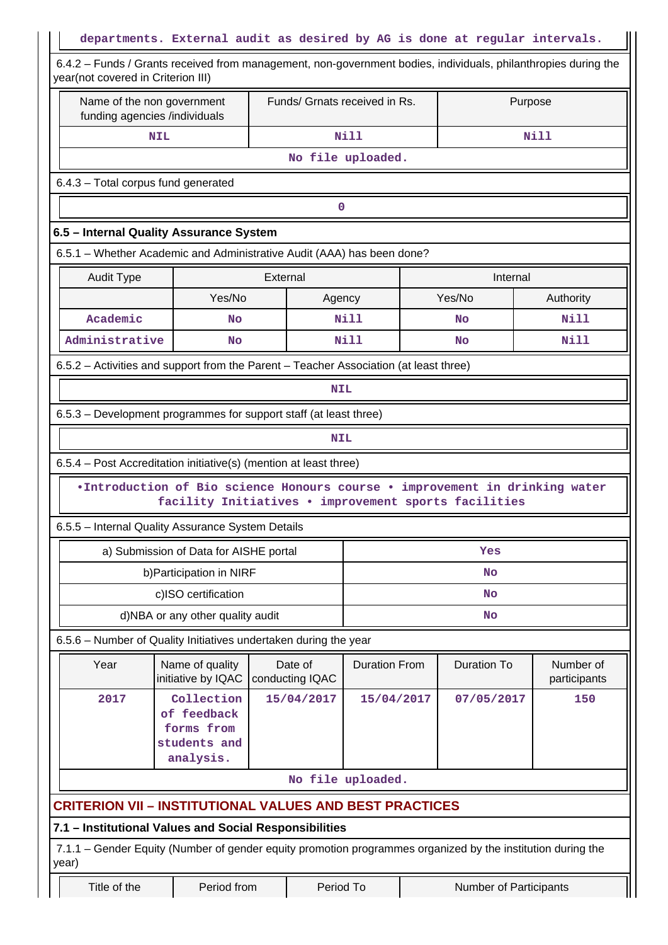| departments. External audit as desired by AG is done at regular intervals.                                                                           |                                                                                                                                     |            |            |                                                    |  |                        |                           |  |  |  |  |  |
|------------------------------------------------------------------------------------------------------------------------------------------------------|-------------------------------------------------------------------------------------------------------------------------------------|------------|------------|----------------------------------------------------|--|------------------------|---------------------------|--|--|--|--|--|
| 6.4.2 – Funds / Grants received from management, non-government bodies, individuals, philanthropies during the<br>year(not covered in Criterion III) |                                                                                                                                     |            |            |                                                    |  |                        |                           |  |  |  |  |  |
|                                                                                                                                                      | Name of the non government<br>funding agencies /individuals                                                                         |            |            | Funds/ Grnats received in Rs.                      |  |                        | Purpose                   |  |  |  |  |  |
|                                                                                                                                                      | <b>NIL</b>                                                                                                                          |            |            | Nill                                               |  | <b>Nill</b>            |                           |  |  |  |  |  |
|                                                                                                                                                      | No file uploaded.                                                                                                                   |            |            |                                                    |  |                        |                           |  |  |  |  |  |
| 6.4.3 - Total corpus fund generated                                                                                                                  |                                                                                                                                     |            |            |                                                    |  |                        |                           |  |  |  |  |  |
| 0                                                                                                                                                    |                                                                                                                                     |            |            |                                                    |  |                        |                           |  |  |  |  |  |
| 6.5 - Internal Quality Assurance System                                                                                                              |                                                                                                                                     |            |            |                                                    |  |                        |                           |  |  |  |  |  |
| 6.5.1 – Whether Academic and Administrative Audit (AAA) has been done?                                                                               |                                                                                                                                     |            |            |                                                    |  |                        |                           |  |  |  |  |  |
| <b>Audit Type</b>                                                                                                                                    |                                                                                                                                     | External   |            |                                                    |  | Internal               |                           |  |  |  |  |  |
|                                                                                                                                                      | Yes/No                                                                                                                              | Agency     |            |                                                    |  | Yes/No                 | Authority                 |  |  |  |  |  |
| Academic                                                                                                                                             | <b>No</b>                                                                                                                           |            |            | Nill                                               |  | No                     | Nill                      |  |  |  |  |  |
| Administrative                                                                                                                                       | <b>No</b>                                                                                                                           |            |            | Nill                                               |  | <b>No</b>              | Nill                      |  |  |  |  |  |
| 6.5.2 – Activities and support from the Parent – Teacher Association (at least three)                                                                |                                                                                                                                     |            |            |                                                    |  |                        |                           |  |  |  |  |  |
|                                                                                                                                                      |                                                                                                                                     |            | <b>NIL</b> |                                                    |  |                        |                           |  |  |  |  |  |
| 6.5.3 – Development programmes for support staff (at least three)                                                                                    |                                                                                                                                     |            |            |                                                    |  |                        |                           |  |  |  |  |  |
|                                                                                                                                                      |                                                                                                                                     |            | <b>NIL</b> |                                                    |  |                        |                           |  |  |  |  |  |
| 6.5.4 – Post Accreditation initiative(s) (mention at least three)                                                                                    |                                                                                                                                     |            |            |                                                    |  |                        |                           |  |  |  |  |  |
|                                                                                                                                                      | .Introduction of Bio science Honours course . improvement in drinking water<br>facility Initiatives . improvement sports facilities |            |            |                                                    |  |                        |                           |  |  |  |  |  |
| 6.5.5 - Internal Quality Assurance System Details                                                                                                    |                                                                                                                                     |            |            |                                                    |  |                        |                           |  |  |  |  |  |
|                                                                                                                                                      | a) Submission of Data for AISHE portal                                                                                              |            |            |                                                    |  | Yes                    |                           |  |  |  |  |  |
|                                                                                                                                                      | b) Participation in NIRF                                                                                                            |            |            |                                                    |  | No                     |                           |  |  |  |  |  |
|                                                                                                                                                      | c)ISO certification                                                                                                                 |            |            | No                                                 |  |                        |                           |  |  |  |  |  |
|                                                                                                                                                      | d)NBA or any other quality audit                                                                                                    |            |            | No                                                 |  |                        |                           |  |  |  |  |  |
| 6.5.6 - Number of Quality Initiatives undertaken during the year                                                                                     |                                                                                                                                     |            |            |                                                    |  |                        |                           |  |  |  |  |  |
| Year                                                                                                                                                 | Name of quality<br>initiative by IQAC                                                                                               |            |            | <b>Duration From</b><br>Date of<br>conducting IQAC |  | <b>Duration To</b>     | Number of<br>participants |  |  |  |  |  |
| 2017                                                                                                                                                 | Collection<br>of feedback<br>forms from<br>students and<br>analysis.                                                                | 15/04/2017 |            | 15/04/2017                                         |  | 07/05/2017             | 150                       |  |  |  |  |  |
| No file uploaded.                                                                                                                                    |                                                                                                                                     |            |            |                                                    |  |                        |                           |  |  |  |  |  |
| <b>CRITERION VII - INSTITUTIONAL VALUES AND BEST PRACTICES</b>                                                                                       |                                                                                                                                     |            |            |                                                    |  |                        |                           |  |  |  |  |  |
| 7.1 - Institutional Values and Social Responsibilities                                                                                               |                                                                                                                                     |            |            |                                                    |  |                        |                           |  |  |  |  |  |
| 7.1.1 – Gender Equity (Number of gender equity promotion programmes organized by the institution during the<br>year)                                 |                                                                                                                                     |            |            |                                                    |  |                        |                           |  |  |  |  |  |
| Title of the                                                                                                                                         | Period from<br>Period To                                                                                                            |            |            |                                                    |  | Number of Participants |                           |  |  |  |  |  |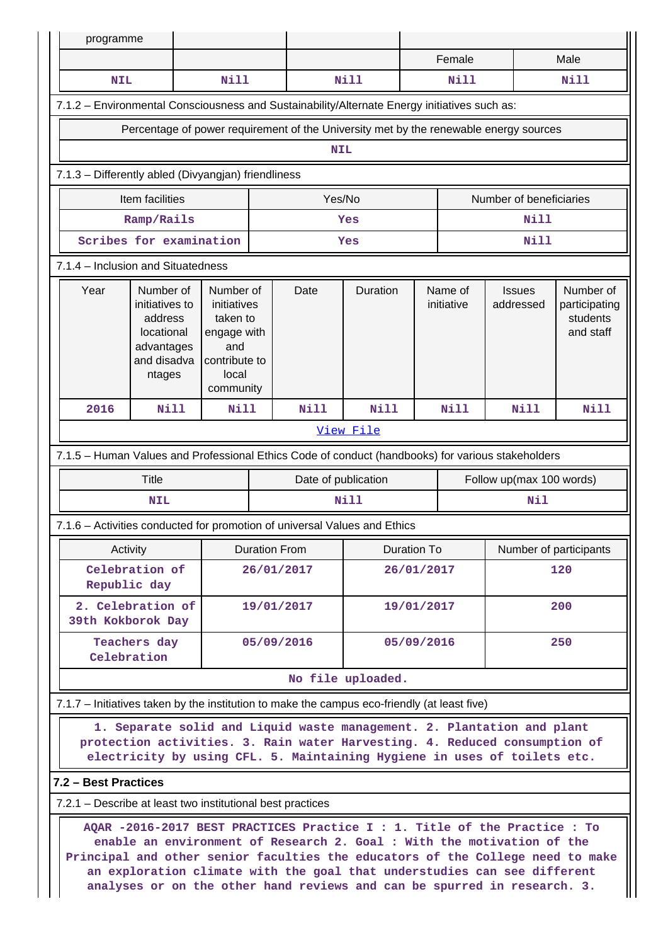| programme                                                                                                                                                                                                                                                                                                                                                                                     |                                                                                             |             |                                                                                            |      |                   |                       |             |                            |                                                     |  |  |
|-----------------------------------------------------------------------------------------------------------------------------------------------------------------------------------------------------------------------------------------------------------------------------------------------------------------------------------------------------------------------------------------------|---------------------------------------------------------------------------------------------|-------------|--------------------------------------------------------------------------------------------|------|-------------------|-----------------------|-------------|----------------------------|-----------------------------------------------------|--|--|
|                                                                                                                                                                                                                                                                                                                                                                                               |                                                                                             |             |                                                                                            |      |                   |                       | Female      |                            | Male                                                |  |  |
| <b>NIL</b>                                                                                                                                                                                                                                                                                                                                                                                    |                                                                                             | <b>Nill</b> |                                                                                            |      | Nill              |                       | Nill        |                            | Nill                                                |  |  |
| 7.1.2 - Environmental Consciousness and Sustainability/Alternate Energy initiatives such as:                                                                                                                                                                                                                                                                                                  |                                                                                             |             |                                                                                            |      |                   |                       |             |                            |                                                     |  |  |
| Percentage of power requirement of the University met by the renewable energy sources                                                                                                                                                                                                                                                                                                         |                                                                                             |             |                                                                                            |      |                   |                       |             |                            |                                                     |  |  |
| <b>NIL</b>                                                                                                                                                                                                                                                                                                                                                                                    |                                                                                             |             |                                                                                            |      |                   |                       |             |                            |                                                     |  |  |
| 7.1.3 - Differently abled (Divyangjan) friendliness                                                                                                                                                                                                                                                                                                                                           |                                                                                             |             |                                                                                            |      |                   |                       |             |                            |                                                     |  |  |
|                                                                                                                                                                                                                                                                                                                                                                                               | Item facilities<br>Yes/No<br>Number of beneficiaries                                        |             |                                                                                            |      |                   |                       |             |                            |                                                     |  |  |
|                                                                                                                                                                                                                                                                                                                                                                                               | Ramp/Rails                                                                                  |             | Yes                                                                                        |      |                   |                       | Nill        |                            |                                                     |  |  |
|                                                                                                                                                                                                                                                                                                                                                                                               | Scribes for examination                                                                     |             |                                                                                            |      | Yes               |                       |             | <b>Nill</b>                |                                                     |  |  |
| 7.1.4 - Inclusion and Situatedness                                                                                                                                                                                                                                                                                                                                                            |                                                                                             |             |                                                                                            |      |                   |                       |             |                            |                                                     |  |  |
| Year                                                                                                                                                                                                                                                                                                                                                                                          | Number of<br>initiatives to<br>address<br>locational<br>advantages<br>and disadva<br>ntages |             | Number of<br>initiatives<br>taken to<br>engage with<br>contribute to<br>local<br>community | Date | Duration          | Name of<br>initiative |             | <b>Issues</b><br>addressed | Number of<br>participating<br>students<br>and staff |  |  |
| 2016                                                                                                                                                                                                                                                                                                                                                                                          | <b>Nill</b><br><b>Nill</b>                                                                  |             |                                                                                            | Nill | <b>Nill</b>       |                       | <b>Nill</b> | Nill                       | <b>Nill</b>                                         |  |  |
|                                                                                                                                                                                                                                                                                                                                                                                               |                                                                                             |             |                                                                                            |      | View File         |                       |             |                            |                                                     |  |  |
| 7.1.5 - Human Values and Professional Ethics Code of conduct (handbooks) for various stakeholders                                                                                                                                                                                                                                                                                             |                                                                                             |             |                                                                                            |      |                   |                       |             |                            |                                                     |  |  |
|                                                                                                                                                                                                                                                                                                                                                                                               | <b>Title</b><br>Date of publication<br>Follow up(max 100 words)                             |             |                                                                                            |      |                   |                       |             |                            |                                                     |  |  |
|                                                                                                                                                                                                                                                                                                                                                                                               | <b>NIL</b>                                                                                  |             |                                                                                            |      | <b>Nill</b>       |                       |             | Nil                        |                                                     |  |  |
| 7.1.6 - Activities conducted for promotion of universal Values and Ethics                                                                                                                                                                                                                                                                                                                     |                                                                                             |             |                                                                                            |      |                   |                       |             |                            |                                                     |  |  |
|                                                                                                                                                                                                                                                                                                                                                                                               | Activity                                                                                    |             | <b>Duration From</b>                                                                       |      |                   | Duration To           |             |                            | Number of participants                              |  |  |
|                                                                                                                                                                                                                                                                                                                                                                                               | Celebration of<br>Republic day                                                              |             | 26/01/2017                                                                                 |      | 26/01/2017        |                       |             |                            | 120                                                 |  |  |
|                                                                                                                                                                                                                                                                                                                                                                                               | 2. Celebration of<br>39th Kokborok Day                                                      |             | 19/01/2017                                                                                 |      | 19/01/2017        |                       |             | 200                        |                                                     |  |  |
|                                                                                                                                                                                                                                                                                                                                                                                               | Teachers day<br>Celebration                                                                 |             | 05/09/2016                                                                                 |      |                   | 05/09/2016            |             |                            | 250                                                 |  |  |
|                                                                                                                                                                                                                                                                                                                                                                                               |                                                                                             |             |                                                                                            |      | No file uploaded. |                       |             |                            |                                                     |  |  |
| 7.1.7 – Initiatives taken by the institution to make the campus eco-friendly (at least five)                                                                                                                                                                                                                                                                                                  |                                                                                             |             |                                                                                            |      |                   |                       |             |                            |                                                     |  |  |
| 1. Separate solid and Liquid waste management. 2. Plantation and plant<br>protection activities. 3. Rain water Harvesting. 4. Reduced consumption of<br>electricity by using CFL. 5. Maintaining Hygiene in uses of toilets etc.                                                                                                                                                              |                                                                                             |             |                                                                                            |      |                   |                       |             |                            |                                                     |  |  |
| 7.2 - Best Practices                                                                                                                                                                                                                                                                                                                                                                          |                                                                                             |             |                                                                                            |      |                   |                       |             |                            |                                                     |  |  |
| 7.2.1 – Describe at least two institutional best practices                                                                                                                                                                                                                                                                                                                                    |                                                                                             |             |                                                                                            |      |                   |                       |             |                            |                                                     |  |  |
| AQAR -2016-2017 BEST PRACTICES Practice I : 1. Title of the Practice : To<br>enable an environment of Research 2. Goal : With the motivation of the<br>Principal and other senior faculties the educators of the College need to make<br>an exploration climate with the goal that understudies can see different<br>analyses or on the other hand reviews and can be spurred in research. 3. |                                                                                             |             |                                                                                            |      |                   |                       |             |                            |                                                     |  |  |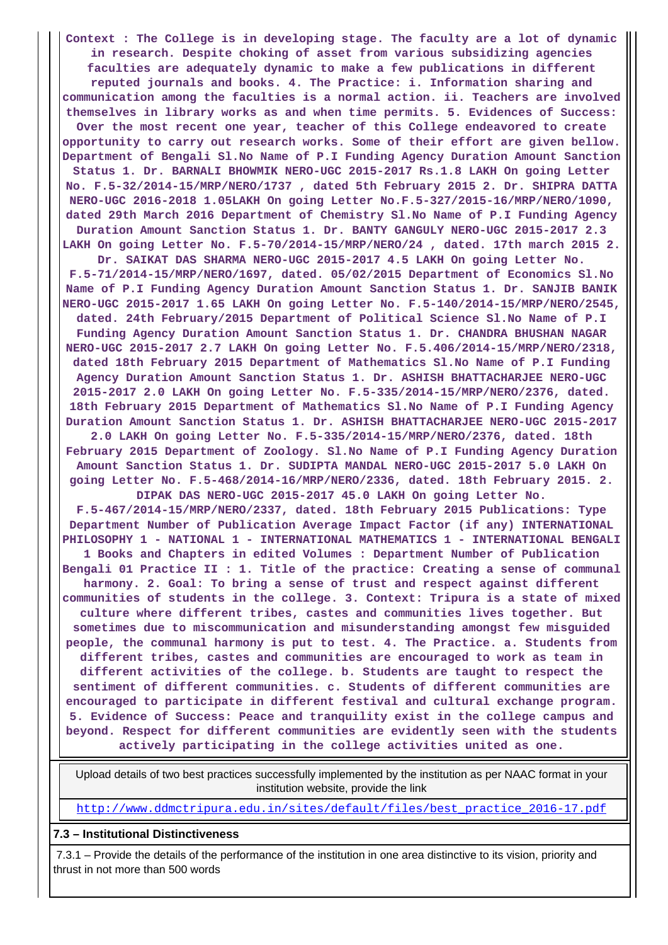**Context : The College is in developing stage. The faculty are a lot of dynamic in research. Despite choking of asset from various subsidizing agencies faculties are adequately dynamic to make a few publications in different reputed journals and books. 4. The Practice: i. Information sharing and communication among the faculties is a normal action. ii. Teachers are involved themselves in library works as and when time permits. 5. Evidences of Success: Over the most recent one year, teacher of this College endeavored to create opportunity to carry out research works. Some of their effort are given bellow. Department of Bengali Sl.No Name of P.I Funding Agency Duration Amount Sanction Status 1. Dr. BARNALI BHOWMIK NERO-UGC 2015-2017 Rs.1.8 LAKH On going Letter No. F.5-32/2014-15/MRP/NERO/1737 , dated 5th February 2015 2. Dr. SHIPRA DATTA NERO-UGC 2016-2018 1.05LAKH On going Letter No.F.5-327/2015-16/MRP/NERO/1090, dated 29th March 2016 Department of Chemistry Sl.No Name of P.I Funding Agency Duration Amount Sanction Status 1. Dr. BANTY GANGULY NERO-UGC 2015-2017 2.3 LAKH On going Letter No. F.5-70/2014-15/MRP/NERO/24 , dated. 17th march 2015 2. Dr. SAIKAT DAS SHARMA NERO-UGC 2015-2017 4.5 LAKH On going Letter No. F.5-71/2014-15/MRP/NERO/1697, dated. 05/02/2015 Department of Economics Sl.No Name of P.I Funding Agency Duration Amount Sanction Status 1. Dr. SANJIB BANIK NERO-UGC 2015-2017 1.65 LAKH On going Letter No. F.5-140/2014-15/MRP/NERO/2545, dated. 24th February/2015 Department of Political Science Sl.No Name of P.I Funding Agency Duration Amount Sanction Status 1. Dr. CHANDRA BHUSHAN NAGAR NERO-UGC 2015-2017 2.7 LAKH On going Letter No. F.5.406/2014-15/MRP/NERO/2318, dated 18th February 2015 Department of Mathematics Sl.No Name of P.I Funding Agency Duration Amount Sanction Status 1. Dr. ASHISH BHATTACHARJEE NERO-UGC 2015-2017 2.0 LAKH On going Letter No. F.5-335/2014-15/MRP/NERO/2376, dated. 18th February 2015 Department of Mathematics Sl.No Name of P.I Funding Agency Duration Amount Sanction Status 1. Dr. ASHISH BHATTACHARJEE NERO-UGC 2015-2017 2.0 LAKH On going Letter No. F.5-335/2014-15/MRP/NERO/2376, dated. 18th February 2015 Department of Zoology. Sl.No Name of P.I Funding Agency Duration Amount Sanction Status 1. Dr. SUDIPTA MANDAL NERO-UGC 2015-2017 5.0 LAKH On going Letter No. F.5-468/2014-16/MRP/NERO/2336, dated. 18th February 2015. 2. DIPAK DAS NERO-UGC 2015-2017 45.0 LAKH On going Letter No. F.5-467/2014-15/MRP/NERO/2337, dated. 18th February 2015 Publications: Type Department Number of Publication Average Impact Factor (if any) INTERNATIONAL PHILOSOPHY 1 - NATIONAL 1 - INTERNATIONAL MATHEMATICS 1 - INTERNATIONAL BENGALI 1 Books and Chapters in edited Volumes : Department Number of Publication Bengali 01 Practice II : 1. Title of the practice: Creating a sense of communal harmony. 2. Goal: To bring a sense of trust and respect against different communities of students in the college. 3. Context: Tripura is a state of mixed culture where different tribes, castes and communities lives together. But sometimes due to miscommunication and misunderstanding amongst few misguided people, the communal harmony is put to test. 4. The Practice. a. Students from different tribes, castes and communities are encouraged to work as team in different activities of the college. b. Students are taught to respect the sentiment of different communities. c. Students of different communities are encouraged to participate in different festival and cultural exchange program. 5. Evidence of Success: Peace and tranquility exist in the college campus and beyond. Respect for different communities are evidently seen with the students actively participating in the college activities united as one.**

 Upload details of two best practices successfully implemented by the institution as per NAAC format in your institution website, provide the link

[http://www.ddmctripura.edu.in/sites/default/files/best\\_practice\\_2016-17.pdf](http://www.ddmctripura.edu.in/sites/default/files/best_practice_2016-17.pdf)

#### **7.3 – Institutional Distinctiveness**

 7.3.1 – Provide the details of the performance of the institution in one area distinctive to its vision, priority and thrust in not more than 500 words